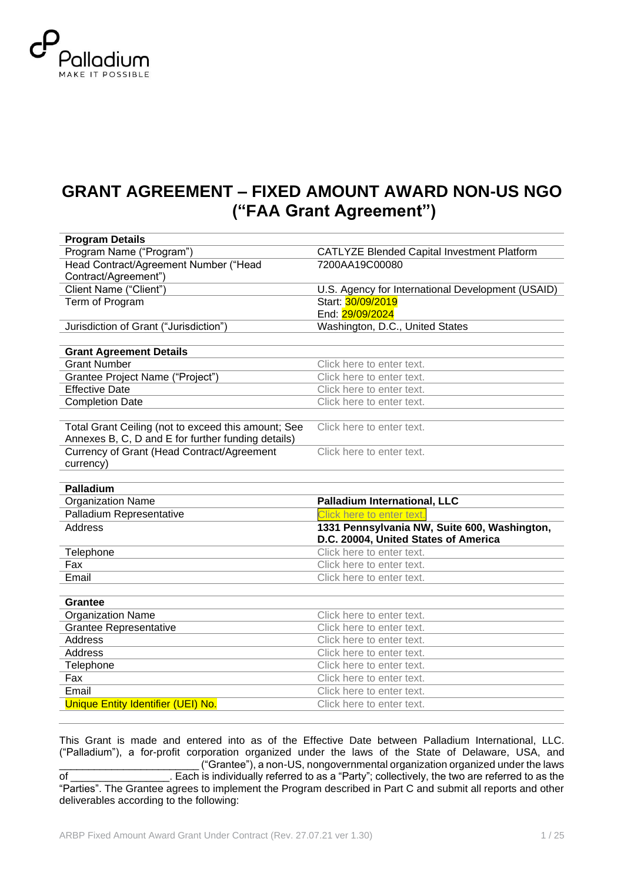

# **GRANT AGREEMENT – FIXED AMOUNT AWARD NON-US NGO ("FAA Grant Agreement")**

| <b>Program Details</b>                              |                                                   |
|-----------------------------------------------------|---------------------------------------------------|
| Program Name ("Program")                            | CATLYZE Blended Capital Investment Platform       |
| Head Contract/Agreement Number ("Head               | 7200AA19C00080                                    |
| Contract/Agreement")                                |                                                   |
| Client Name ("Client")                              | U.S. Agency for International Development (USAID) |
| Term of Program                                     | Start: 30/09/2019                                 |
|                                                     | End: 29/09/2024                                   |
| Jurisdiction of Grant ("Jurisdiction")              | Washington, D.C., United States                   |
|                                                     |                                                   |
| <b>Grant Agreement Details</b>                      |                                                   |
| <b>Grant Number</b>                                 | Click here to enter text.                         |
| Grantee Project Name ("Project")                    | Click here to enter text.                         |
| <b>Effective Date</b>                               | Click here to enter text.                         |
| <b>Completion Date</b>                              | Click here to enter text.                         |
|                                                     |                                                   |
| Total Grant Ceiling (not to exceed this amount; See | Click here to enter text.                         |
| Annexes B, C, D and E for further funding details)  |                                                   |
| Currency of Grant (Head Contract/Agreement          | Click here to enter text.                         |
| currency)                                           |                                                   |
|                                                     |                                                   |
|                                                     |                                                   |
| Palladium                                           |                                                   |
| <b>Organization Name</b>                            | <b>Palladium International, LLC</b>               |
| Palladium Representative                            | Click here to enter text.                         |
| <b>Address</b>                                      | 1331 Pennsylvania NW, Suite 600, Washington,      |
|                                                     | D.C. 20004, United States of America              |
| Telephone                                           | Click here to enter text.                         |
| Fax                                                 | Click here to enter text.                         |
| Email                                               | Click here to enter text.                         |
|                                                     |                                                   |
| Grantee                                             |                                                   |
| <b>Organization Name</b>                            | Click here to enter text.                         |
| <b>Grantee Representative</b>                       | Click here to enter text.                         |
| <b>Address</b>                                      | Click here to enter text.                         |
| <b>Address</b>                                      | Click here to enter text.                         |
| Telephone                                           | Click here to enter text.                         |
| Fax                                                 | Click here to enter text.                         |
| Email                                               | Click here to enter text.                         |
| Unique Entity Identifier (UEI) No.                  | Click here to enter text.                         |

This Grant is made and entered into as of the Effective Date between Palladium International, LLC. ("Palladium"), a for-profit corporation organized under the laws of the State of Delaware, USA, and <sup>2</sup> ("Grantee"), a non-US, nongovernmental organization organized under the laws<br>of Each is individually referred to as a "Party": collectively, the two are referred to as the of \_\_\_\_\_\_\_\_\_\_\_\_\_\_\_\_\_. Each is individually referred to as a "Party"; collectively, the two are referred to as the "Parties". The Grantee agrees to implement the Program described in Part C and submit all reports and other deliverables according to the following: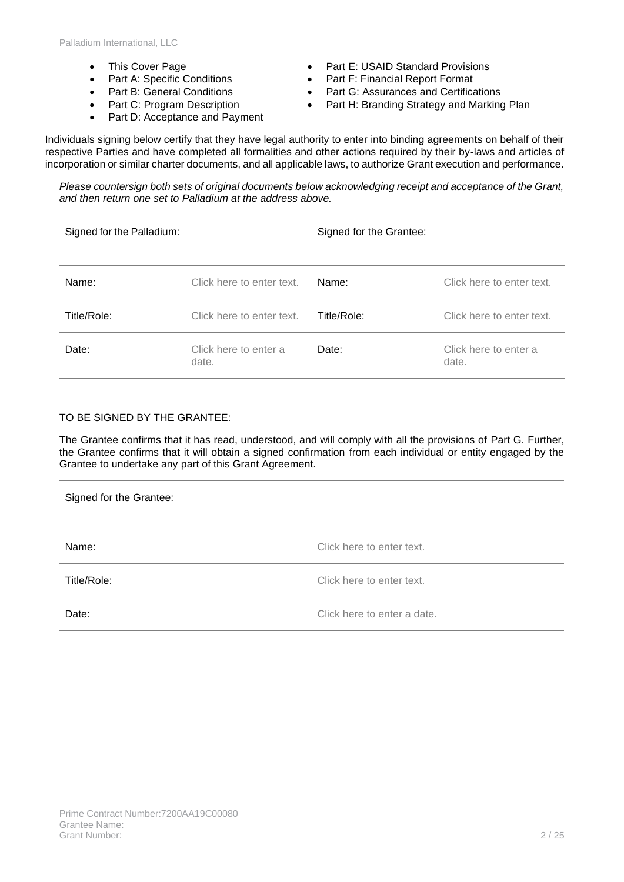- This Cover Page
- Part A: Specific Conditions
- Part B: General Conditions
- Part C: Program Description
- Part D: Acceptance and Payment
- Part E: USAID Standard Provisions
- Part F: Financial Report Format
- Part G: Assurances and Certifications
- Part H: Branding Strategy and Marking Plan

Individuals signing below certify that they have legal authority to enter into binding agreements on behalf of their respective Parties and have completed all formalities and other actions required by their by-laws and articles of incorporation or similar charter documents, and all applicable laws, to authorize Grant execution and performance.

*Please countersign both sets of original documents below acknowledging receipt and acceptance of the Grant, and then return one set to Palladium at the address above.*

| Signed for the Palladium: |                                | Signed for the Grantee: |                                |
|---------------------------|--------------------------------|-------------------------|--------------------------------|
| Name:                     | Click here to enter text.      | Name:                   | Click here to enter text.      |
| Title/Role:               | Click here to enter text.      | Title/Role:             | Click here to enter text.      |
| Date:                     | Click here to enter a<br>date. | Date:                   | Click here to enter a<br>date. |

### TO BE SIGNED BY THE GRANTEE:

The Grantee confirms that it has read, understood, and will comply with all the provisions of Part G. Further, the Grantee confirms that it will obtain a signed confirmation from each individual or entity engaged by the Grantee to undertake any part of this Grant Agreement.

| Signed for the Grantee: |                             |
|-------------------------|-----------------------------|
| Name:                   | Click here to enter text.   |
| Title/Role:             | Click here to enter text.   |
| Date:                   | Click here to enter a date. |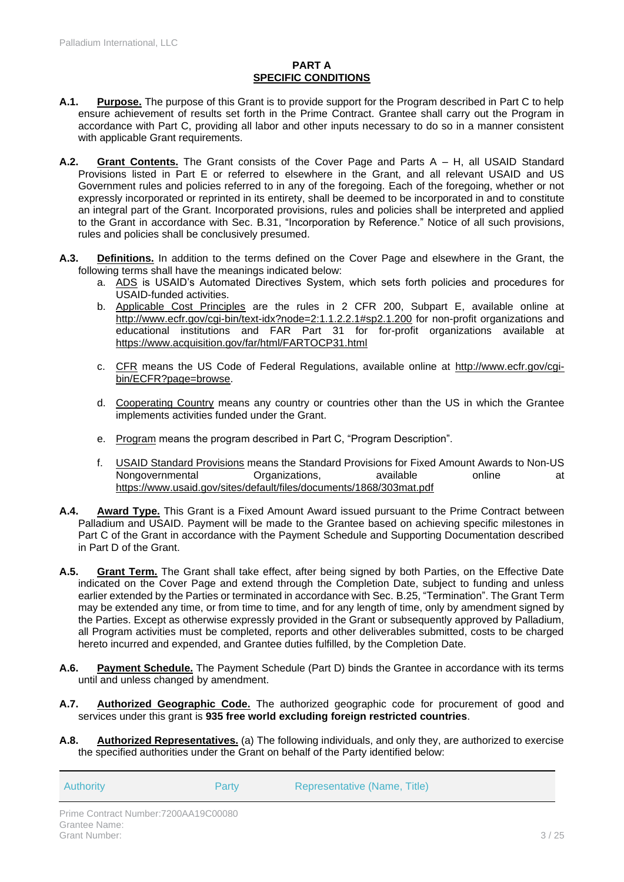### **PART A SPECIFIC CONDITIONS**

- **A.1. Purpose.** The purpose of this Grant is to provide support for the Program described in Part C to help ensure achievement of results set forth in the Prime Contract. Grantee shall carry out the Program in accordance with Part C, providing all labor and other inputs necessary to do so in a manner consistent with applicable Grant requirements.
- **A.2. Grant Contents.** The Grant consists of the Cover Page and Parts A H, all USAID Standard Provisions listed in Part E or referred to elsewhere in the Grant, and all relevant USAID and US Government rules and policies referred to in any of the foregoing. Each of the foregoing, whether or not expressly incorporated or reprinted in its entirety, shall be deemed to be incorporated in and to constitute an integral part of the Grant. Incorporated provisions, rules and policies shall be interpreted and applied to the Grant in accordance with Sec. B.31, "Incorporation by Reference." Notice of all such provisions, rules and policies shall be conclusively presumed.
- **A.3. Definitions.** In addition to the terms defined on the Cover Page and elsewhere in the Grant, the following terms shall have the meanings indicated below:
	- a. ADS is USAID's Automated Directives System, which sets forth policies and procedures for USAID-funded activities.
	- b. Applicable Cost Principles are the rules in 2 CFR 200, Subpart E, available online at <http://www.ecfr.gov/cgi-bin/text-idx?node=2:1.1.2.2.1#sp2.1.200> for non-profit organizations and educational institutions and FAR Part 31 for for-profit organizations available at <https://www.acquisition.gov/far/html/FARTOCP31.html>
	- c. CFR means the US Code of Federal Regulations, available online at [http://www.ecfr.gov/cgi](http://www.ecfr.gov/cgi-bin/ECFR?page=browse)[bin/ECFR?page=browse.](http://www.ecfr.gov/cgi-bin/ECFR?page=browse)
	- d. Cooperating Country means any country or countries other than the US in which the Grantee implements activities funded under the Grant.
	- e. Program means the program described in Part C, "Program Description".
	- f. USAID Standard Provisions means the Standard Provisions for Fixed Amount Awards to Non-US Nongovernmental Organizations, available online at <https://www.usaid.gov/sites/default/files/documents/1868/303mat.pdf>
- **A.4. Award Type.** This Grant is a Fixed Amount Award issued pursuant to the Prime Contract between Palladium and USAID. Payment will be made to the Grantee based on achieving specific milestones in Part C of the Grant in accordance with the Payment Schedule and Supporting Documentation described in Part D of the Grant.
- **A.5. Grant Term.** The Grant shall take effect, after being signed by both Parties, on the Effective Date indicated on the Cover Page and extend through the Completion Date, subject to funding and unless earlier extended by the Parties or terminated in accordance with Sec. [B.25,](#page-9-0) "Termination". The Grant Term may be extended any time, or from time to time, and for any length of time, only by amendment signed by the Parties. Except as otherwise expressly provided in the Grant or subsequently approved by Palladium, all Program activities must be completed, reports and other deliverables submitted, costs to be charged hereto incurred and expended, and Grantee duties fulfilled, by the Completion Date.
- **A.6. Payment Schedule.** The Payment Schedule (Part D) binds the Grantee in accordance with its terms until and unless changed by amendment.
- **A.7. Authorized Geographic Code.** The authorized geographic code for procurement of good and services under this grant is **935 free world excluding foreign restricted countries**.
- **A.8. Authorized Representatives.** (a) The following individuals, and only they, are authorized to exercise the specified authorities under the Grant on behalf of the Party identified below:

Authority Party Representative (Name, Title)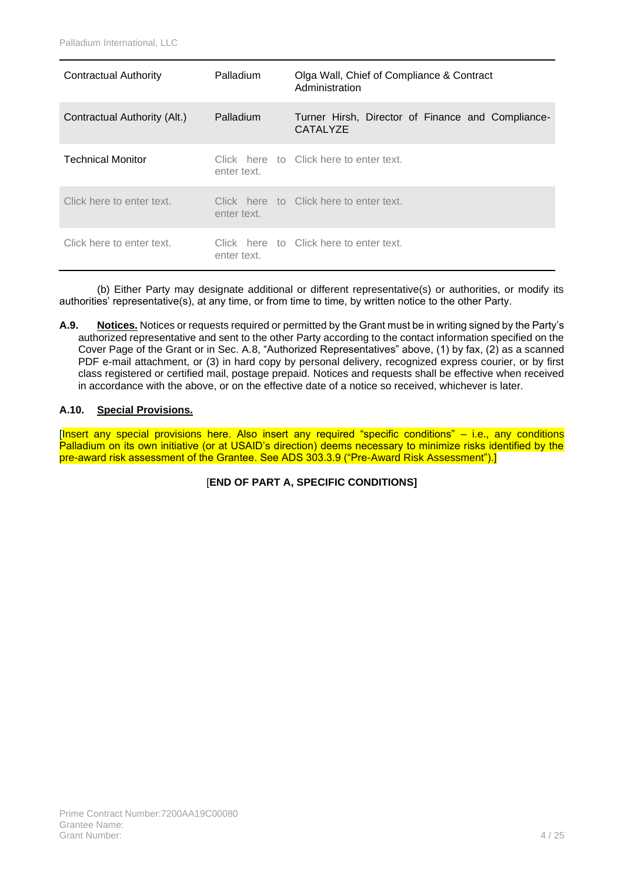| Contractual Authority        | Palladium   | Olga Wall, Chief of Compliance & Contract<br>Administration   |
|------------------------------|-------------|---------------------------------------------------------------|
| Contractual Authority (Alt.) | Palladium   | Turner Hirsh, Director of Finance and Compliance-<br>CATALYZE |
| <b>Technical Monitor</b>     | enter text. | Click here to Click here to enter text.                       |
| Click here to enter text.    | enter text. | Click here to Click here to enter text.                       |
| Click here to enter text.    | enter text. | Click here to Click here to enter text.                       |

(b) Either Party may designate additional or different representative(s) or authorities, or modify its authorities' representative(s), at any time, or from time to time, by written notice to the other Party.

**A.9. Notices.** Notices or requests required or permitted by the Grant must be in writing signed by the Party's authorized representative and sent to the other Party according to the contact information specified on the Cover Page of the Grant or in Sec. A.8, "Authorized Representatives" above, (1) by fax, (2) as a scanned PDF e-mail attachment, or (3) in hard copy by personal delivery, recognized express courier, or by first class registered or certified mail, postage prepaid. Notices and requests shall be effective when received in accordance with the above, or on the effective date of a notice so received, whichever is later.

### **A.10. Special Provisions.**

[Insert any special provisions here. Also insert any required "specific conditions" – i.e., any conditions Palladium on its own initiative (or at USAID's direction) deems necessary to minimize risks identified by the pre-award risk assessment of the Grantee. See ADS 303.3.9 ("Pre-Award Risk Assessment").]

[**END OF PART A, SPECIFIC CONDITIONS]**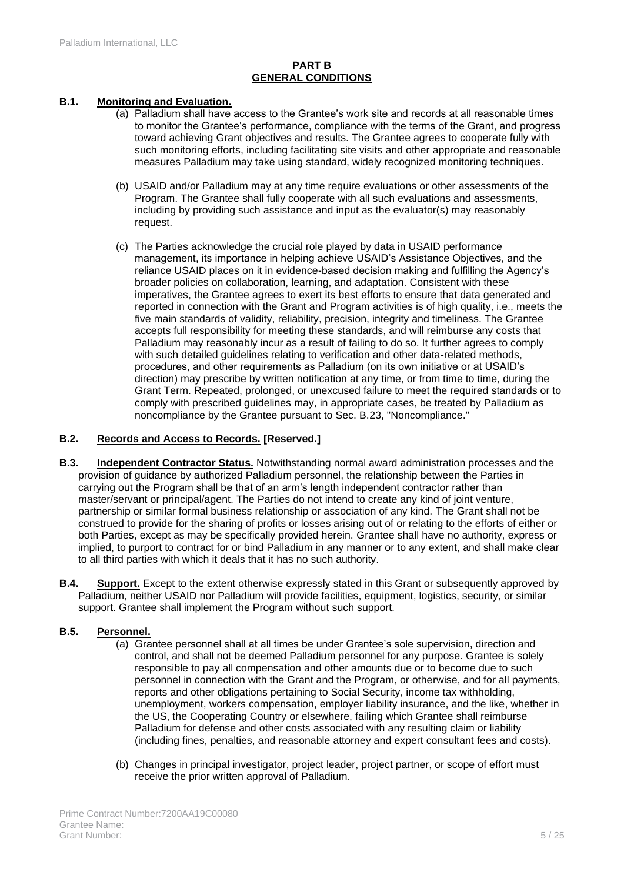### **PART B GENERAL CONDITIONS**

### **B.1. Monitoring and Evaluation.**

- (a) Palladium shall have access to the Grantee's work site and records at all reasonable times to monitor the Grantee's performance, compliance with the terms of the Grant, and progress toward achieving Grant objectives and results. The Grantee agrees to cooperate fully with such monitoring efforts, including facilitating site visits and other appropriate and reasonable measures Palladium may take using standard, widely recognized monitoring techniques.
- (b) USAID and/or Palladium may at any time require evaluations or other assessments of the Program. The Grantee shall fully cooperate with all such evaluations and assessments, including by providing such assistance and input as the evaluator(s) may reasonably request.
- (c) The Parties acknowledge the crucial role played by data in USAID performance management, its importance in helping achieve USAID's Assistance Objectives, and the reliance USAID places on it in evidence-based decision making and fulfilling the Agency's broader policies on collaboration, learning, and adaptation. Consistent with these imperatives, the Grantee agrees to exert its best efforts to ensure that data generated and reported in connection with the Grant and Program activities is of high quality, i.e., meets the five main standards of validity, reliability, precision, integrity and timeliness. The Grantee accepts full responsibility for meeting these standards, and will reimburse any costs that Palladium may reasonably incur as a result of failing to do so. It further agrees to comply with such detailed guidelines relating to verification and other data-related methods, procedures, and other requirements as Palladium (on its own initiative or at USAID's direction) may prescribe by written notification at any time, or from time to time, during the Grant Term. Repeated, prolonged, or unexcused failure to meet the required standards or to comply with prescribed guidelines may, in appropriate cases, be treated by Palladium as noncompliance by the Grantee pursuant to Sec. B.23, "Noncompliance."

### **B.2. Records and Access to Records. [Reserved.]**

- **B.3. Independent Contractor Status.** Notwithstanding normal award administration processes and the provision of guidance by authorized Palladium personnel, the relationship between the Parties in carrying out the Program shall be that of an arm's length independent contractor rather than master/servant or principal/agent. The Parties do not intend to create any kind of joint venture, partnership or similar formal business relationship or association of any kind. The Grant shall not be construed to provide for the sharing of profits or losses arising out of or relating to the efforts of either or both Parties, except as may be specifically provided herein. Grantee shall have no authority, express or implied, to purport to contract for or bind Palladium in any manner or to any extent, and shall make clear to all third parties with which it deals that it has no such authority.
- **B.4. Support.** Except to the extent otherwise expressly stated in this Grant or subsequently approved by Palladium, neither USAID nor Palladium will provide facilities, equipment, logistics, security, or similar support. Grantee shall implement the Program without such support.

### **B.5. Personnel.**

- (a) Grantee personnel shall at all times be under Grantee's sole supervision, direction and control, and shall not be deemed Palladium personnel for any purpose. Grantee is solely responsible to pay all compensation and other amounts due or to become due to such personnel in connection with the Grant and the Program, or otherwise, and for all payments, reports and other obligations pertaining to Social Security, income tax withholding, unemployment, workers compensation, employer liability insurance, and the like, whether in the US, the Cooperating Country or elsewhere, failing which Grantee shall reimburse Palladium for defense and other costs associated with any resulting claim or liability (including fines, penalties, and reasonable attorney and expert consultant fees and costs).
- (b) Changes in principal investigator, project leader, project partner, or scope of effort must receive the prior written approval of Palladium.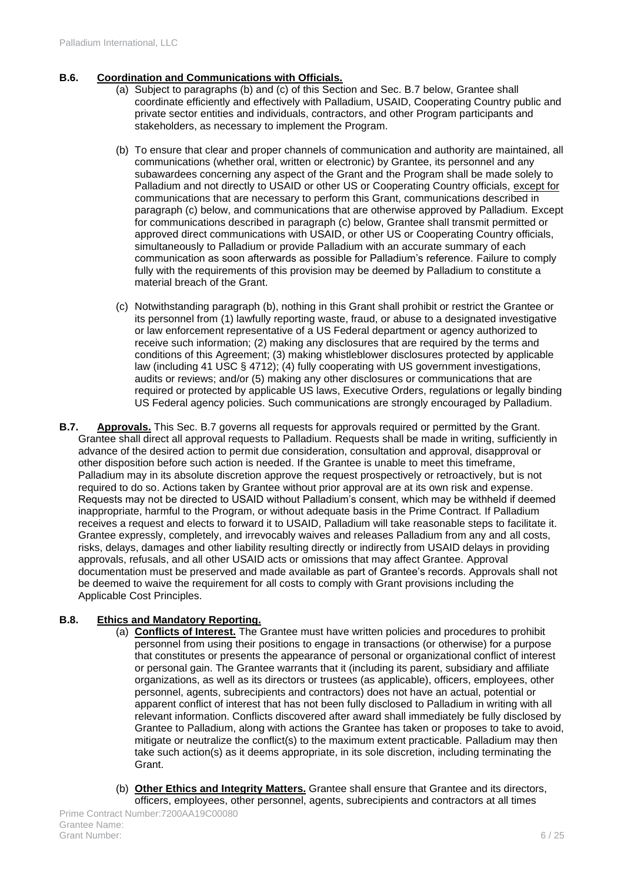### **B.6. Coordination and Communications with Officials.**

- (a) Subject to paragraphs (b) and (c) of this Section and Sec. B.7 below, Grantee shall coordinate efficiently and effectively with Palladium, USAID, Cooperating Country public and private sector entities and individuals, contractors, and other Program participants and stakeholders, as necessary to implement the Program.
- (b) To ensure that clear and proper channels of communication and authority are maintained, all communications (whether oral, written or electronic) by Grantee, its personnel and any subawardees concerning any aspect of the Grant and the Program shall be made solely to Palladium and not directly to USAID or other US or Cooperating Country officials, except for communications that are necessary to perform this Grant, communications described in paragraph (c) below, and communications that are otherwise approved by Palladium. Except for communications described in paragraph (c) below, Grantee shall transmit permitted or approved direct communications with USAID, or other US or Cooperating Country officials, simultaneously to Palladium or provide Palladium with an accurate summary of each communication as soon afterwards as possible for Palladium's reference. Failure to comply fully with the requirements of this provision may be deemed by Palladium to constitute a material breach of the Grant.
- (c) Notwithstanding paragraph (b), nothing in this Grant shall prohibit or restrict the Grantee or its personnel from (1) lawfully reporting waste, fraud, or abuse to a designated investigative or law enforcement representative of a US Federal department or agency authorized to receive such information; (2) making any disclosures that are required by the terms and conditions of this Agreement; (3) making whistleblower disclosures protected by applicable law (including 41 USC § 4712); (4) fully cooperating with US government investigations, audits or reviews; and/or (5) making any other disclosures or communications that are required or protected by applicable US laws, Executive Orders, regulations or legally binding US Federal agency policies. Such communications are strongly encouraged by Palladium.
- **B.7. Approvals.** This Sec. B.7 governs all requests for approvals required or permitted by the Grant. Grantee shall direct all approval requests to Palladium. Requests shall be made in writing, sufficiently in advance of the desired action to permit due consideration, consultation and approval, disapproval or other disposition before such action is needed. If the Grantee is unable to meet this timeframe, Palladium may in its absolute discretion approve the request prospectively or retroactively, but is not required to do so. Actions taken by Grantee without prior approval are at its own risk and expense. Requests may not be directed to USAID without Palladium's consent, which may be withheld if deemed inappropriate, harmful to the Program, or without adequate basis in the Prime Contract. If Palladium receives a request and elects to forward it to USAID, Palladium will take reasonable steps to facilitate it. Grantee expressly, completely, and irrevocably waives and releases Palladium from any and all costs, risks, delays, damages and other liability resulting directly or indirectly from USAID delays in providing approvals, refusals, and all other USAID acts or omissions that may affect Grantee. Approval documentation must be preserved and made available as part of Grantee's records. Approvals shall not be deemed to waive the requirement for all costs to comply with Grant provisions including the Applicable Cost Principles.

### **B.8. Ethics and Mandatory Reporting.**

- (a) **Conflicts of Interest.** The Grantee must have written policies and procedures to prohibit personnel from using their positions to engage in transactions (or otherwise) for a purpose that constitutes or presents the appearance of personal or organizational conflict of interest or personal gain. The Grantee warrants that it (including its parent, subsidiary and affiliate organizations, as well as its directors or trustees (as applicable), officers, employees, other personnel, agents, subrecipients and contractors) does not have an actual, potential or apparent conflict of interest that has not been fully disclosed to Palladium in writing with all relevant information. Conflicts discovered after award shall immediately be fully disclosed by Grantee to Palladium, along with actions the Grantee has taken or proposes to take to avoid, mitigate or neutralize the conflict(s) to the maximum extent practicable. Palladium may then take such action(s) as it deems appropriate, in its sole discretion, including terminating the **Grant**
- (b) **Other Ethics and Integrity Matters.** Grantee shall ensure that Grantee and its directors, officers, employees, other personnel, agents, subrecipients and contractors at all times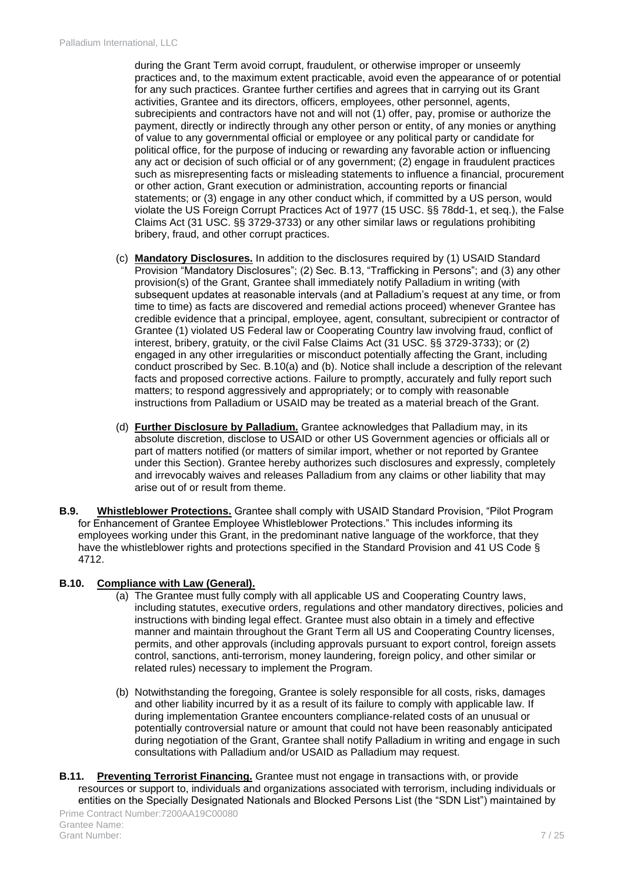during the Grant Term avoid corrupt, fraudulent, or otherwise improper or unseemly practices and, to the maximum extent practicable, avoid even the appearance of or potential for any such practices. Grantee further certifies and agrees that in carrying out its Grant activities, Grantee and its directors, officers, employees, other personnel, agents, subrecipients and contractors have not and will not (1) offer, pay, promise or authorize the payment, directly or indirectly through any other person or entity, of any monies or anything of value to any governmental official or employee or any political party or candidate for political office, for the purpose of inducing or rewarding any favorable action or influencing any act or decision of such official or of any government; (2) engage in fraudulent practices such as misrepresenting facts or misleading statements to influence a financial, procurement or other action, Grant execution or administration, accounting reports or financial statements; or (3) engage in any other conduct which, if committed by a US person, would violate the US Foreign Corrupt Practices Act of 1977 (15 USC. §§ 78dd-1, et seq.), the False Claims Act (31 USC. §§ 3729-3733) or any other similar laws or regulations prohibiting bribery, fraud, and other corrupt practices.

- (c) **Mandatory Disclosures.** In addition to the disclosures required by (1) USAID Standard Provision "Mandatory Disclosures"; (2) Sec. B.13, "Trafficking in Persons"; and (3) any other provision(s) of the Grant, Grantee shall immediately notify Palladium in writing (with subsequent updates at reasonable intervals (and at Palladium's request at any time, or from time to time) as facts are discovered and remedial actions proceed) whenever Grantee has credible evidence that a principal, employee, agent, consultant, subrecipient or contractor of Grantee (1) violated US Federal law or Cooperating Country law involving fraud, conflict of interest, bribery, gratuity, or the civil False Claims Act (31 USC. §§ 3729-3733); or (2) engaged in any other irregularities or misconduct potentially affecting the Grant, including conduct proscribed by Sec. B.10(a) and (b). Notice shall include a description of the relevant facts and proposed corrective actions. Failure to promptly, accurately and fully report such matters; to respond aggressively and appropriately; or to comply with reasonable instructions from Palladium or USAID may be treated as a material breach of the Grant.
- (d) **Further Disclosure by Palladium.** Grantee acknowledges that Palladium may, in its absolute discretion, disclose to USAID or other US Government agencies or officials all or part of matters notified (or matters of similar import, whether or not reported by Grantee under this Section). Grantee hereby authorizes such disclosures and expressly, completely and irrevocably waives and releases Palladium from any claims or other liability that may arise out of or result from theme.
- **B.9. Whistleblower Protections.** Grantee shall comply with USAID Standard Provision, "Pilot Program for Enhancement of Grantee Employee Whistleblower Protections." This includes informing its employees working under this Grant, in the predominant native language of the workforce, that they have the whistleblower rights and protections specified in the Standard Provision and 41 US Code § 4712.

### **B.10. Compliance with Law (General).**

- (a) The Grantee must fully comply with all applicable US and Cooperating Country laws, including statutes, executive orders, regulations and other mandatory directives, policies and instructions with binding legal effect. Grantee must also obtain in a timely and effective manner and maintain throughout the Grant Term all US and Cooperating Country licenses, permits, and other approvals (including approvals pursuant to export control, foreign assets control, sanctions, anti-terrorism, money laundering, foreign policy, and other similar or related rules) necessary to implement the Program.
- (b) Notwithstanding the foregoing, Grantee is solely responsible for all costs, risks, damages and other liability incurred by it as a result of its failure to comply with applicable law. If during implementation Grantee encounters compliance-related costs of an unusual or potentially controversial nature or amount that could not have been reasonably anticipated during negotiation of the Grant, Grantee shall notify Palladium in writing and engage in such consultations with Palladium and/or USAID as Palladium may request.
- **B.11. Preventing Terrorist Financing.** Grantee must not engage in transactions with, or provide resources or support to, individuals and organizations associated with terrorism, including individuals or entities on the Specially Designated Nationals and Blocked Persons List (the "SDN List") maintained by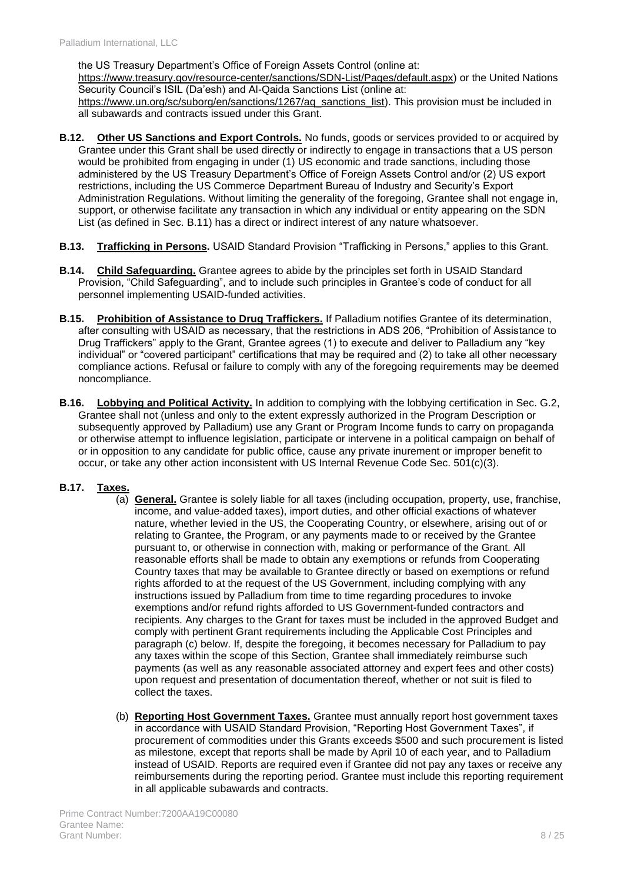the US Treasury Department's Office of Foreign Assets Control (online at: [https://www.treasury.gov/resource-center/sanctions/SDN-List/Pages/default.aspx\)](https://www.treasury.gov/resource-center/sanctions/SDN-List/Pages/default.aspx) or the United Nations Security Council's ISIL (Da'esh) and Al-Qaida Sanctions List (online at: [https://www.un.org/sc/suborg/en/sanctions/1267/aq\\_sanctions\\_list\)](https://www.un.org/sc/suborg/en/sanctions/1267/aq_sanctions_list). This provision must be included in all subawards and contracts issued under this Grant.

- **B.12. Other US Sanctions and Export Controls.** No funds, goods or services provided to or acquired by Grantee under this Grant shall be used directly or indirectly to engage in transactions that a US person would be prohibited from engaging in under (1) US economic and trade sanctions, including those administered by the US Treasury Department's Office of Foreign Assets Control and/or (2) US export restrictions, including the US Commerce Department Bureau of Industry and Security's Export Administration Regulations. Without limiting the generality of the foregoing, Grantee shall not engage in, support, or otherwise facilitate any transaction in which any individual or entity appearing on the SDN List (as defined in Sec. B.11) has a direct or indirect interest of any nature whatsoever.
- **B.13. Trafficking in Persons.** USAID Standard Provision "Trafficking in Persons," applies to this Grant.
- **B.14. Child Safeguarding.** Grantee agrees to abide by the principles set forth in USAID Standard Provision, "Child Safeguarding", and to include such principles in Grantee's code of conduct for all personnel implementing USAID-funded activities.
- **B.15. Prohibition of Assistance to Drug Traffickers.** If Palladium notifies Grantee of its determination, after consulting with USAID as necessary, that the restrictions in ADS 206, "Prohibition of Assistance to Drug Traffickers" apply to the Grant, Grantee agrees (1) to execute and deliver to Palladium any "key individual" or "covered participant" certifications that may be required and (2) to take all other necessary compliance actions. Refusal or failure to comply with any of the foregoing requirements may be deemed noncompliance.
- **B.16. Lobbying and Political Activity.** In addition to complying with the lobbying certification in Sec. G.2, Grantee shall not (unless and only to the extent expressly authorized in the Program Description or subsequently approved by Palladium) use any Grant or Program Income funds to carry on propaganda or otherwise attempt to influence legislation, participate or intervene in a political campaign on behalf of or in opposition to any candidate for public office, cause any private inurement or improper benefit to occur, or take any other action inconsistent with US Internal Revenue Code Sec. 501(c)(3).

### **B.17. Taxes.**

- (a) **General.** Grantee is solely liable for all taxes (including occupation, property, use, franchise, income, and value-added taxes), import duties, and other official exactions of whatever nature, whether levied in the US, the Cooperating Country, or elsewhere, arising out of or relating to Grantee, the Program, or any payments made to or received by the Grantee pursuant to, or otherwise in connection with, making or performance of the Grant. All reasonable efforts shall be made to obtain any exemptions or refunds from Cooperating Country taxes that may be available to Grantee directly or based on exemptions or refund rights afforded to at the request of the US Government, including complying with any instructions issued by Palladium from time to time regarding procedures to invoke exemptions and/or refund rights afforded to US Government-funded contractors and recipients. Any charges to the Grant for taxes must be included in the approved Budget and comply with pertinent Grant requirements including the Applicable Cost Principles and paragraph (c) below. If, despite the foregoing, it becomes necessary for Palladium to pay any taxes within the scope of this Section, Grantee shall immediately reimburse such payments (as well as any reasonable associated attorney and expert fees and other costs) upon request and presentation of documentation thereof, whether or not suit is filed to collect the taxes.
- (b) **Reporting Host Government Taxes.** Grantee must annually report host government taxes in accordance with USAID Standard Provision, "Reporting Host Government Taxes", if procurement of commodities under this Grants exceeds \$500 and such procurement is listed as milestone, except that reports shall be made by April 10 of each year, and to Palladium instead of USAID. Reports are required even if Grantee did not pay any taxes or receive any reimbursements during the reporting period. Grantee must include this reporting requirement in all applicable subawards and contracts.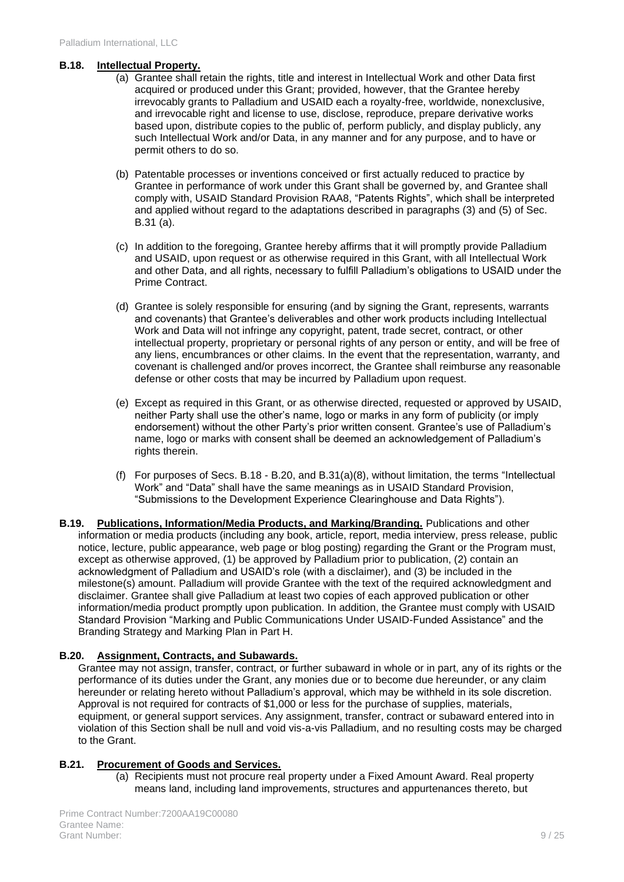#### **B.18. Intellectual Property.**

- (a) Grantee shall retain the rights, title and interest in Intellectual Work and other Data first acquired or produced under this Grant; provided, however, that the Grantee hereby irrevocably grants to Palladium and USAID each a royalty-free, worldwide, nonexclusive, and irrevocable right and license to use, disclose, reproduce, prepare derivative works based upon, distribute copies to the public of, perform publicly, and display publicly, any such Intellectual Work and/or Data, in any manner and for any purpose, and to have or permit others to do so.
- (b) Patentable processes or inventions conceived or first actually reduced to practice by Grantee in performance of work under this Grant shall be governed by, and Grantee shall comply with, USAID Standard Provision RAA8, "Patents Rights", which shall be interpreted and applied without regard to the adaptations described in paragraphs (3) and (5) of Sec. B.31 (a).
- (c) In addition to the foregoing, Grantee hereby affirms that it will promptly provide Palladium and USAID, upon request or as otherwise required in this Grant, with all Intellectual Work and other Data, and all rights, necessary to fulfill Palladium's obligations to USAID under the Prime Contract.
- (d) Grantee is solely responsible for ensuring (and by signing the Grant, represents, warrants and covenants) that Grantee's deliverables and other work products including Intellectual Work and Data will not infringe any copyright, patent, trade secret, contract, or other intellectual property, proprietary or personal rights of any person or entity, and will be free of any liens, encumbrances or other claims. In the event that the representation, warranty, and covenant is challenged and/or proves incorrect, the Grantee shall reimburse any reasonable defense or other costs that may be incurred by Palladium upon request.
- (e) Except as required in this Grant, or as otherwise directed, requested or approved by USAID, neither Party shall use the other's name, logo or marks in any form of publicity (or imply endorsement) without the other Party's prior written consent. Grantee's use of Palladium's name, logo or marks with consent shall be deemed an acknowledgement of Palladium's rights therein.
- (f) For purposes of Secs. B.18 B.20, and B.31(a)(8), without limitation, the terms "Intellectual Work" and "Data" shall have the same meanings as in USAID Standard Provision, "Submissions to the Development Experience Clearinghouse and Data Rights").
- **B.19. Publications, Information/Media Products, and Marking/Branding.** Publications and other information or media products (including any book, article, report, media interview, press release, public notice, lecture, public appearance, web page or blog posting) regarding the Grant or the Program must, except as otherwise approved, (1) be approved by Palladium prior to publication, (2) contain an acknowledgment of Palladium and USAID's role (with a disclaimer), and (3) be included in the milestone(s) amount. Palladium will provide Grantee with the text of the required acknowledgment and disclaimer. Grantee shall give Palladium at least two copies of each approved publication or other information/media product promptly upon publication. In addition, the Grantee must comply with USAID Standard Provision "Marking and Public Communications Under USAID-Funded Assistance" and the Branding Strategy and Marking Plan in Part H.

### **B.20. Assignment, Contracts, and Subawards.**

Grantee may not assign, transfer, contract, or further subaward in whole or in part, any of its rights or the performance of its duties under the Grant, any monies due or to become due hereunder, or any claim hereunder or relating hereto without Palladium's approval, which may be withheld in its sole discretion. Approval is not required for contracts of \$1,000 or less for the purchase of supplies, materials, equipment, or general support services. Any assignment, transfer, contract or subaward entered into in violation of this Section shall be null and void vis-a-vis Palladium, and no resulting costs may be charged to the Grant.

### **B.21. Procurement of Goods and Services.**

(a) Recipients must not procure real property under a Fixed Amount Award. Real property means land, including land improvements, structures and appurtenances thereto, but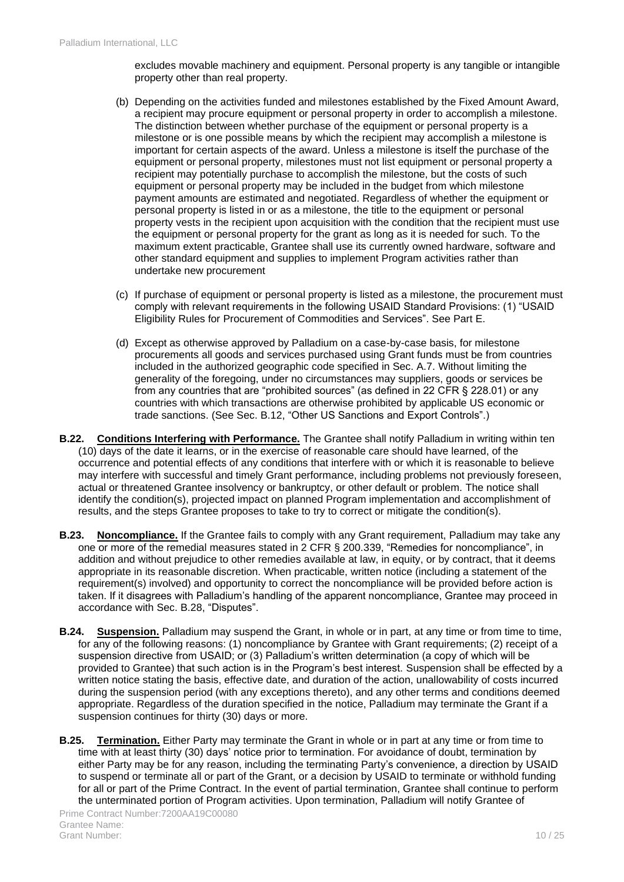excludes movable machinery and equipment. Personal property is any tangible or intangible property other than real property.

- (b) Depending on the activities funded and milestones established by the Fixed Amount Award, a recipient may procure equipment or personal property in order to accomplish a milestone. The distinction between whether purchase of the equipment or personal property is a milestone or is one possible means by which the recipient may accomplish a milestone is important for certain aspects of the award. Unless a milestone is itself the purchase of the equipment or personal property, milestones must not list equipment or personal property a recipient may potentially purchase to accomplish the milestone, but the costs of such equipment or personal property may be included in the budget from which milestone payment amounts are estimated and negotiated. Regardless of whether the equipment or personal property is listed in or as a milestone, the title to the equipment or personal property vests in the recipient upon acquisition with the condition that the recipient must use the equipment or personal property for the grant as long as it is needed for such. To the maximum extent practicable, Grantee shall use its currently owned hardware, software and other standard equipment and supplies to implement Program activities rather than undertake new procurement
- (c) If purchase of equipment or personal property is listed as a milestone, the procurement must comply with relevant requirements in the following USAID Standard Provisions: (1) "USAID Eligibility Rules for Procurement of Commodities and Services". See Part E.
- (d) Except as otherwise approved by Palladium on a case-by-case basis, for milestone procurements all goods and services purchased using Grant funds must be from countries included in the authorized geographic code specified in Sec. A.7. Without limiting the generality of the foregoing, under no circumstances may suppliers, goods or services be from any countries that are "prohibited sources" (as defined in 22 CFR § 228.01) or any countries with which transactions are otherwise prohibited by applicable US economic or trade sanctions. (See Sec. B.12, "Other US Sanctions and Export Controls".)
- **B.22. Conditions Interfering with Performance.** The Grantee shall notify Palladium in writing within ten (10) days of the date it learns, or in the exercise of reasonable care should have learned, of the occurrence and potential effects of any conditions that interfere with or which it is reasonable to believe may interfere with successful and timely Grant performance, including problems not previously foreseen, actual or threatened Grantee insolvency or bankruptcy, or other default or problem. The notice shall identify the condition(s), projected impact on planned Program implementation and accomplishment of results, and the steps Grantee proposes to take to try to correct or mitigate the condition(s).
- **B.23. Noncompliance.** If the Grantee fails to comply with any Grant requirement, Palladium may take any one or more of the remedial measures stated in 2 CFR § 200.339, "Remedies for noncompliance", in addition and without prejudice to other remedies available at law, in equity, or by contract, that it deems appropriate in its reasonable discretion. When practicable, written notice (including a statement of the requirement(s) involved) and opportunity to correct the noncompliance will be provided before action is taken. If it disagrees with Palladium's handling of the apparent noncompliance, Grantee may proceed in accordance with Sec. B.28, "Disputes".
- **B.24. Suspension.** Palladium may suspend the Grant, in whole or in part, at any time or from time to time, for any of the following reasons: (1) noncompliance by Grantee with Grant requirements; (2) receipt of a suspension directive from USAID; or (3) Palladium's written determination (a copy of which will be provided to Grantee) that such action is in the Program's best interest. Suspension shall be effected by a written notice stating the basis, effective date, and duration of the action, unallowability of costs incurred during the suspension period (with any exceptions thereto), and any other terms and conditions deemed appropriate. Regardless of the duration specified in the notice, Palladium may terminate the Grant if a suspension continues for thirty (30) days or more.
- <span id="page-9-0"></span>**B.25. Termination.** Either Party may terminate the Grant in whole or in part at any time or from time to time with at least thirty (30) days' notice prior to termination. For avoidance of doubt, termination by either Party may be for any reason, including the terminating Party's convenience, a direction by USAID to suspend or terminate all or part of the Grant, or a decision by USAID to terminate or withhold funding for all or part of the Prime Contract. In the event of partial termination, Grantee shall continue to perform the unterminated portion of Program activities. Upon termination, Palladium will notify Grantee of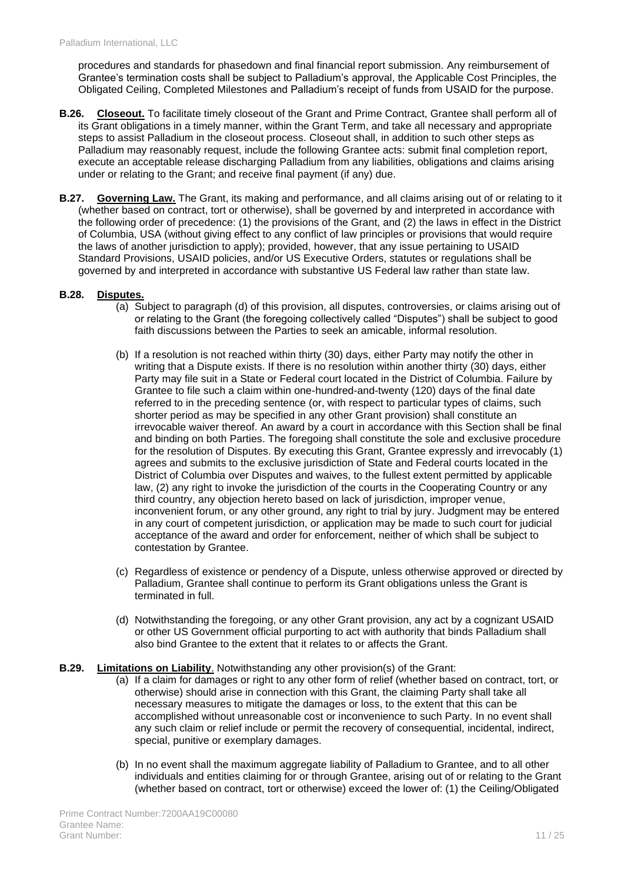procedures and standards for phasedown and final financial report submission. Any reimbursement of Grantee's termination costs shall be subject to Palladium's approval, the Applicable Cost Principles, the Obligated Ceiling, Completed Milestones and Palladium's receipt of funds from USAID for the purpose.

- **B.26. Closeout.** To facilitate timely closeout of the Grant and Prime Contract, Grantee shall perform all of its Grant obligations in a timely manner, within the Grant Term, and take all necessary and appropriate steps to assist Palladium in the closeout process. Closeout shall, in addition to such other steps as Palladium may reasonably request, include the following Grantee acts: submit final completion report, execute an acceptable release discharging Palladium from any liabilities, obligations and claims arising under or relating to the Grant; and receive final payment (if any) due.
- **B.27. Governing Law.** The Grant, its making and performance, and all claims arising out of or relating to it (whether based on contract, tort or otherwise), shall be governed by and interpreted in accordance with the following order of precedence: (1) the provisions of the Grant, and (2) the laws in effect in the District of Columbia, USA (without giving effect to any conflict of law principles or provisions that would require the laws of another jurisdiction to apply); provided, however, that any issue pertaining to USAID Standard Provisions, USAID policies, and/or US Executive Orders, statutes or regulations shall be governed by and interpreted in accordance with substantive US Federal law rather than state law.

### **B.28. Disputes.**

- (a) Subject to paragraph (d) of this provision, all disputes, controversies, or claims arising out of or relating to the Grant (the foregoing collectively called "Disputes") shall be subject to good faith discussions between the Parties to seek an amicable, informal resolution.
- (b) If a resolution is not reached within thirty (30) days, either Party may notify the other in writing that a Dispute exists. If there is no resolution within another thirty (30) days, either Party may file suit in a State or Federal court located in the District of Columbia. Failure by Grantee to file such a claim within one-hundred-and-twenty (120) days of the final date referred to in the preceding sentence (or, with respect to particular types of claims, such shorter period as may be specified in any other Grant provision) shall constitute an irrevocable waiver thereof. An award by a court in accordance with this Section shall be final and binding on both Parties. The foregoing shall constitute the sole and exclusive procedure for the resolution of Disputes. By executing this Grant, Grantee expressly and irrevocably (1) agrees and submits to the exclusive jurisdiction of State and Federal courts located in the District of Columbia over Disputes and waives, to the fullest extent permitted by applicable law, (2) any right to invoke the jurisdiction of the courts in the Cooperating Country or any third country, any objection hereto based on lack of jurisdiction, improper venue, inconvenient forum, or any other ground, any right to trial by jury. Judgment may be entered in any court of competent jurisdiction, or application may be made to such court for judicial acceptance of the award and order for enforcement, neither of which shall be subject to contestation by Grantee.
- (c) Regardless of existence or pendency of a Dispute, unless otherwise approved or directed by Palladium, Grantee shall continue to perform its Grant obligations unless the Grant is terminated in full.
- (d) Notwithstanding the foregoing, or any other Grant provision, any act by a cognizant USAID or other US Government official purporting to act with authority that binds Palladium shall also bind Grantee to the extent that it relates to or affects the Grant.

### **B.29. Limitations on Liability**. Notwithstanding any other provision(s) of the Grant:

- (a) If a claim for damages or right to any other form of relief (whether based on contract, tort, or otherwise) should arise in connection with this Grant, the claiming Party shall take all necessary measures to mitigate the damages or loss, to the extent that this can be accomplished without unreasonable cost or inconvenience to such Party. In no event shall any such claim or relief include or permit the recovery of consequential, incidental, indirect, special, punitive or exemplary damages.
- (b) In no event shall the maximum aggregate liability of Palladium to Grantee, and to all other individuals and entities claiming for or through Grantee, arising out of or relating to the Grant (whether based on contract, tort or otherwise) exceed the lower of: (1) the Ceiling/Obligated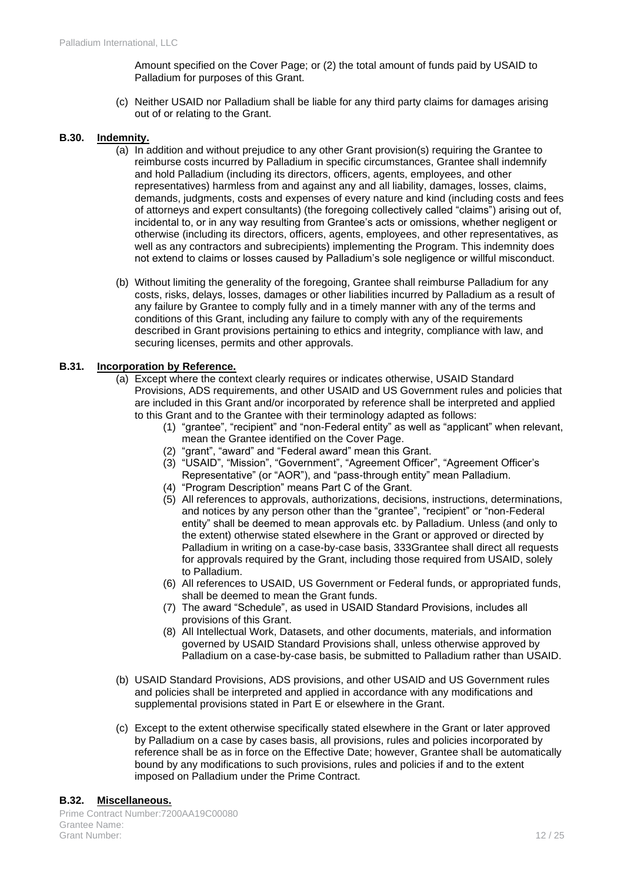Amount specified on the Cover Page; or (2) the total amount of funds paid by USAID to Palladium for purposes of this Grant.

(c) Neither USAID nor Palladium shall be liable for any third party claims for damages arising out of or relating to the Grant.

#### **B.30. Indemnity.**

- (a) In addition and without prejudice to any other Grant provision(s) requiring the Grantee to reimburse costs incurred by Palladium in specific circumstances, Grantee shall indemnify and hold Palladium (including its directors, officers, agents, employees, and other representatives) harmless from and against any and all liability, damages, losses, claims, demands, judgments, costs and expenses of every nature and kind (including costs and fees of attorneys and expert consultants) (the foregoing collectively called "claims") arising out of, incidental to, or in any way resulting from Grantee's acts or omissions, whether negligent or otherwise (including its directors, officers, agents, employees, and other representatives, as well as any contractors and subrecipients) implementing the Program. This indemnity does not extend to claims or losses caused by Palladium's sole negligence or willful misconduct.
- (b) Without limiting the generality of the foregoing, Grantee shall reimburse Palladium for any costs, risks, delays, losses, damages or other liabilities incurred by Palladium as a result of any failure by Grantee to comply fully and in a timely manner with any of the terms and conditions of this Grant, including any failure to comply with any of the requirements described in Grant provisions pertaining to ethics and integrity, compliance with law, and securing licenses, permits and other approvals.

#### **B.31. Incorporation by Reference.**

- (a) Except where the context clearly requires or indicates otherwise, USAID Standard Provisions, ADS requirements, and other USAID and US Government rules and policies that are included in this Grant and/or incorporated by reference shall be interpreted and applied to this Grant and to the Grantee with their terminology adapted as follows:
	- (1) "grantee", "recipient" and "non-Federal entity" as well as "applicant" when relevant, mean the Grantee identified on the Cover Page.
	- (2) "grant", "award" and "Federal award" mean this Grant.
	- (3) "USAID", "Mission", "Government", "Agreement Officer", "Agreement Officer's Representative" (or "AOR"), and "pass-through entity" mean Palladium.
	- (4) "Program Description" means Part C of the Grant.
	- (5) All references to approvals, authorizations, decisions, instructions, determinations, and notices by any person other than the "grantee", "recipient" or "non-Federal entity" shall be deemed to mean approvals etc. by Palladium. Unless (and only to the extent) otherwise stated elsewhere in the Grant or approved or directed by Palladium in writing on a case-by-case basis, 333Grantee shall direct all requests for approvals required by the Grant, including those required from USAID, solely to Palladium.
	- (6) All references to USAID, US Government or Federal funds, or appropriated funds, shall be deemed to mean the Grant funds.
	- (7) The award "Schedule", as used in USAID Standard Provisions, includes all provisions of this Grant.
	- (8) All Intellectual Work, Datasets, and other documents, materials, and information governed by USAID Standard Provisions shall, unless otherwise approved by Palladium on a case-by-case basis, be submitted to Palladium rather than USAID.
- (b) USAID Standard Provisions, ADS provisions, and other USAID and US Government rules and policies shall be interpreted and applied in accordance with any modifications and supplemental provisions stated in Part E or elsewhere in the Grant.
- (c) Except to the extent otherwise specifically stated elsewhere in the Grant or later approved by Palladium on a case by cases basis, all provisions, rules and policies incorporated by reference shall be as in force on the Effective Date; however, Grantee shall be automatically bound by any modifications to such provisions, rules and policies if and to the extent imposed on Palladium under the Prime Contract.

#### **B.32. Miscellaneous.**

Prime Contract Number:7200AA19C00080 Grantee Name: Grant Number: 12 / 25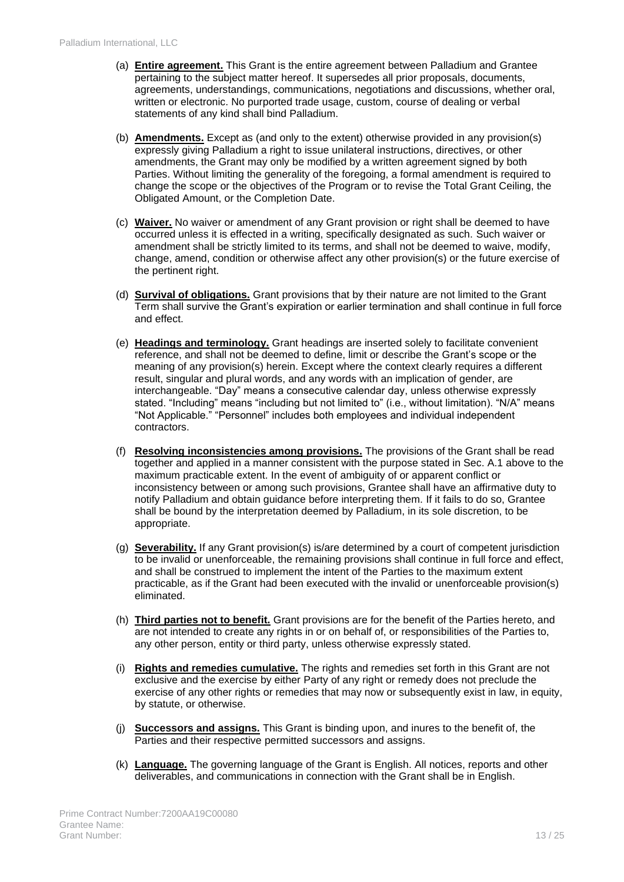- (a) **Entire agreement.** This Grant is the entire agreement between Palladium and Grantee pertaining to the subject matter hereof. It supersedes all prior proposals, documents, agreements, understandings, communications, negotiations and discussions, whether oral, written or electronic. No purported trade usage, custom, course of dealing or verbal statements of any kind shall bind Palladium.
- (b) **Amendments.** Except as (and only to the extent) otherwise provided in any provision(s) expressly giving Palladium a right to issue unilateral instructions, directives, or other amendments, the Grant may only be modified by a written agreement signed by both Parties. Without limiting the generality of the foregoing, a formal amendment is required to change the scope or the objectives of the Program or to revise the Total Grant Ceiling, the Obligated Amount, or the Completion Date.
- (c) **Waiver.** No waiver or amendment of any Grant provision or right shall be deemed to have occurred unless it is effected in a writing, specifically designated as such. Such waiver or amendment shall be strictly limited to its terms, and shall not be deemed to waive, modify, change, amend, condition or otherwise affect any other provision(s) or the future exercise of the pertinent right.
- (d) **Survival of obligations.** Grant provisions that by their nature are not limited to the Grant Term shall survive the Grant's expiration or earlier termination and shall continue in full force and effect.
- (e) **Headings and terminology.** Grant headings are inserted solely to facilitate convenient reference, and shall not be deemed to define, limit or describe the Grant's scope or the meaning of any provision(s) herein. Except where the context clearly requires a different result, singular and plural words, and any words with an implication of gender, are interchangeable. "Day" means a consecutive calendar day, unless otherwise expressly stated. "Including" means "including but not limited to" (i.e., without limitation). "N/A" means "Not Applicable." "Personnel" includes both employees and individual independent contractors.
- (f) **Resolving inconsistencies among provisions.** The provisions of the Grant shall be read together and applied in a manner consistent with the purpose stated in Sec. A.1 above to the maximum practicable extent. In the event of ambiguity of or apparent conflict or inconsistency between or among such provisions, Grantee shall have an affirmative duty to notify Palladium and obtain guidance before interpreting them. If it fails to do so, Grantee shall be bound by the interpretation deemed by Palladium, in its sole discretion, to be appropriate.
- (g) **Severability.** If any Grant provision(s) is/are determined by a court of competent jurisdiction to be invalid or unenforceable, the remaining provisions shall continue in full force and effect, and shall be construed to implement the intent of the Parties to the maximum extent practicable, as if the Grant had been executed with the invalid or unenforceable provision(s) eliminated.
- (h) **Third parties not to benefit.** Grant provisions are for the benefit of the Parties hereto, and are not intended to create any rights in or on behalf of, or responsibilities of the Parties to, any other person, entity or third party, unless otherwise expressly stated.
- (i) **Rights and remedies cumulative.** The rights and remedies set forth in this Grant are not exclusive and the exercise by either Party of any right or remedy does not preclude the exercise of any other rights or remedies that may now or subsequently exist in law, in equity, by statute, or otherwise.
- (j) **Successors and assigns.** This Grant is binding upon, and inures to the benefit of, the Parties and their respective permitted successors and assigns.
- (k) **Language.** The governing language of the Grant is English. All notices, reports and other deliverables, and communications in connection with the Grant shall be in English.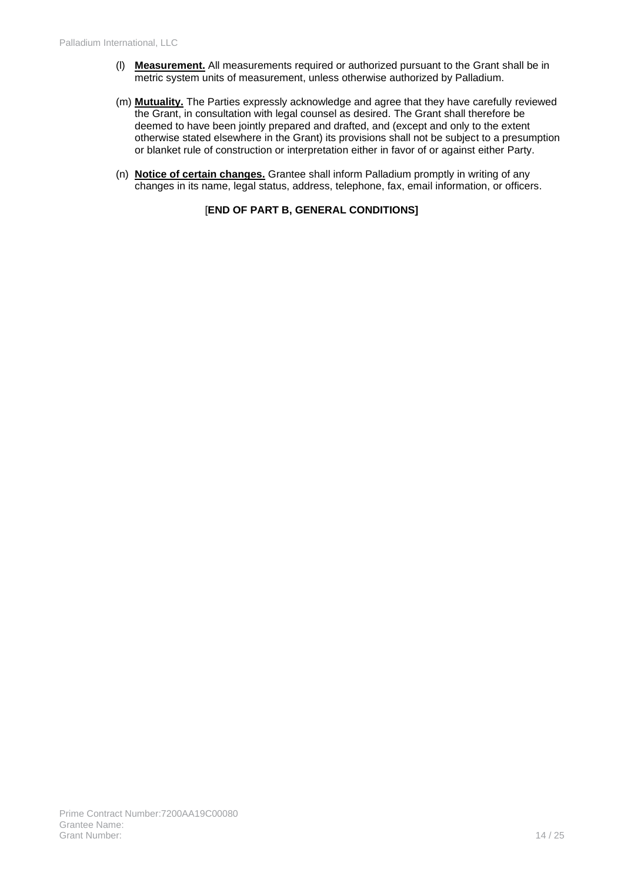- (l) **Measurement.** All measurements required or authorized pursuant to the Grant shall be in metric system units of measurement, unless otherwise authorized by Palladium.
- (m) **Mutuality.** The Parties expressly acknowledge and agree that they have carefully reviewed the Grant, in consultation with legal counsel as desired. The Grant shall therefore be deemed to have been jointly prepared and drafted, and (except and only to the extent otherwise stated elsewhere in the Grant) its provisions shall not be subject to a presumption or blanket rule of construction or interpretation either in favor of or against either Party.
- (n) **Notice of certain changes.** Grantee shall inform Palladium promptly in writing of any changes in its name, legal status, address, telephone, fax, email information, or officers.

### [**END OF PART B, GENERAL CONDITIONS]**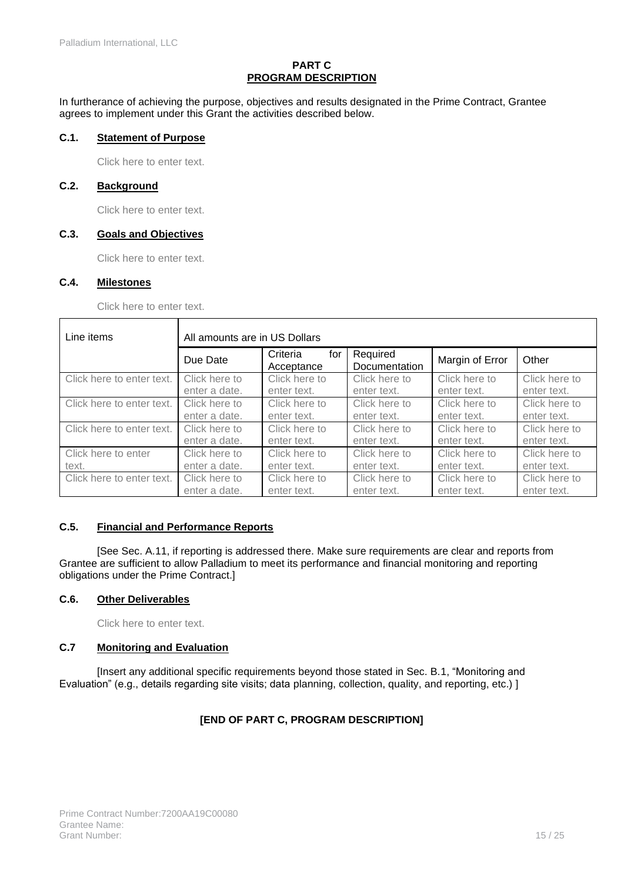### **PART C PROGRAM DESCRIPTION**

In furtherance of achieving the purpose, objectives and results designated in the Prime Contract, Grantee agrees to implement under this Grant the activities described below.

### **C.1. Statement of Purpose**

Click here to enter text.

### **C.2. Background**

Click here to enter text.

#### **C.3. Goals and Objectives**

Click here to enter text.

### **C.4. Milestones**

Click here to enter text.

| Line items                | All amounts are in US Dollars |                               |                           |                 |               |
|---------------------------|-------------------------------|-------------------------------|---------------------------|-----------------|---------------|
|                           | Due Date                      | Criteria<br>for<br>Acceptance | Required<br>Documentation | Margin of Error | Other         |
| Click here to enter text. | Click here to                 | Click here to                 | Click here to             | Click here to   | Click here to |
|                           | enter a date.                 | enter text.                   | enter text.               | enter text.     | enter text.   |
| Click here to enter text. | Click here to                 | Click here to                 | Click here to             | Click here to   | Click here to |
|                           | enter a date.                 | enter text.                   | enter text.               | enter text.     | enter text.   |
| Click here to enter text. | Click here to                 | Click here to                 | Click here to             | Click here to   | Click here to |
|                           | enter a date.                 | enter text.                   | enter text.               | enter text.     | enter text.   |
| Click here to enter       | Click here to                 | Click here to                 | Click here to             | Click here to   | Click here to |
| text.                     | enter a date.                 | enter text.                   | enter text.               | enter text.     | enter text.   |
| Click here to enter text. | Click here to                 | Click here to                 | Click here to             | Click here to   | Click here to |
|                           | enter a date.                 | enter text.                   | enter text.               | enter text.     | enter text.   |

#### **C.5. Financial and Performance Reports**

[See Sec. A.11, if reporting is addressed there. Make sure requirements are clear and reports from Grantee are sufficient to allow Palladium to meet its performance and financial monitoring and reporting obligations under the Prime Contract.]

#### **C.6. Other Deliverables**

Click here to enter text.

### **C.7 Monitoring and Evaluation**

[Insert any additional specific requirements beyond those stated in Sec. B.1, "Monitoring and Evaluation" (e.g., details regarding site visits; data planning, collection, quality, and reporting, etc.) ]

### **[END OF PART C, PROGRAM DESCRIPTION]**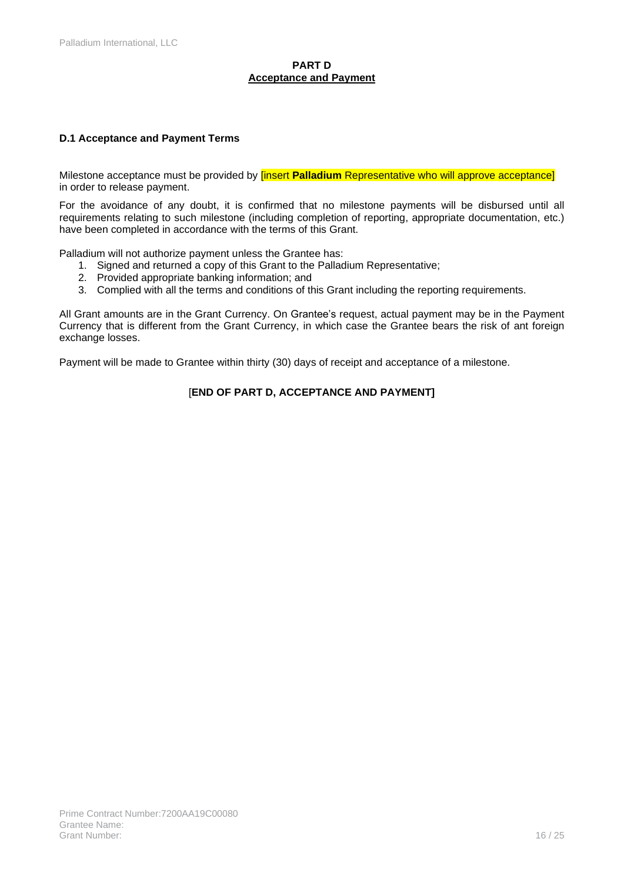### **PART D Acceptance and Payment**

### **D.1 Acceptance and Payment Terms**

Milestone acceptance must be provided by [insert **Palladium** Representative who will approve acceptance] in order to release payment.

For the avoidance of any doubt, it is confirmed that no milestone payments will be disbursed until all requirements relating to such milestone (including completion of reporting, appropriate documentation, etc.) have been completed in accordance with the terms of this Grant.

Palladium will not authorize payment unless the Grantee has:

- 1. Signed and returned a copy of this Grant to the Palladium Representative;
- 2. Provided appropriate banking information; and
- 3. Complied with all the terms and conditions of this Grant including the reporting requirements.

All Grant amounts are in the Grant Currency. On Grantee's request, actual payment may be in the Payment Currency that is different from the Grant Currency, in which case the Grantee bears the risk of ant foreign exchange losses.

Payment will be made to Grantee within thirty (30) days of receipt and acceptance of a milestone.

### [**END OF PART D, ACCEPTANCE AND PAYMENT]**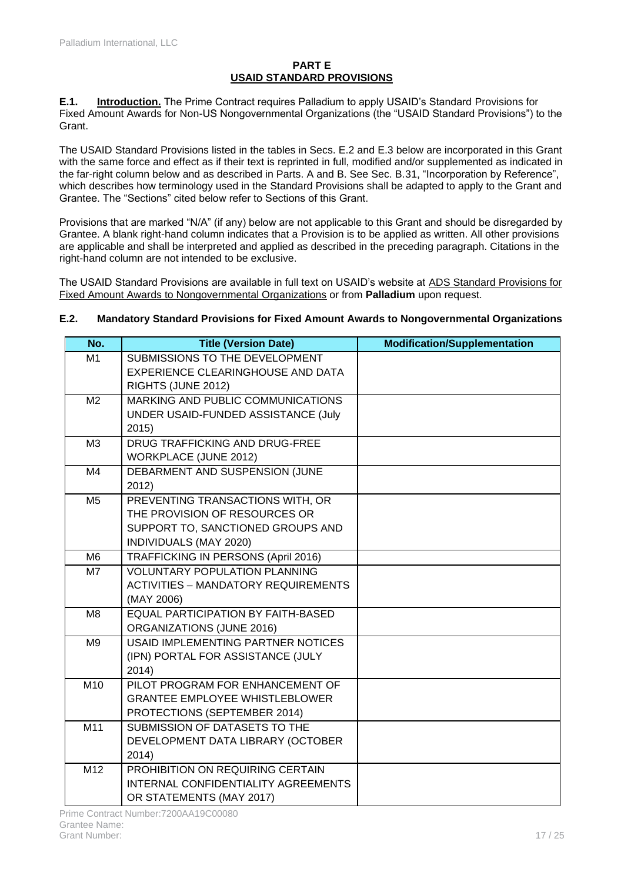### **PART E USAID STANDARD PROVISIONS**

**E.1. Introduction.** The Prime Contract requires Palladium to apply USAID's Standard Provisions for Fixed Amount Awards for Non-US Nongovernmental Organizations (the "USAID Standard Provisions") to the Grant.

The USAID Standard Provisions listed in the tables in Secs. E.2 and E.3 below are incorporated in this Grant with the same force and effect as if their text is reprinted in full, modified and/or supplemented as indicated in the far-right column below and as described in Parts. A and B. See Sec. B.31, "Incorporation by Reference", which describes how terminology used in the Standard Provisions shall be adapted to apply to the Grant and Grantee. The "Sections" cited below refer to Sections of this Grant.

Provisions that are marked "N/A" (if any) below are not applicable to this Grant and should be disregarded by Grantee. A blank right-hand column indicates that a Provision is to be applied as written. All other provisions are applicable and shall be interpreted and applied as described in the preceding paragraph. Citations in the right-hand column are not intended to be exclusive.

The USAID Standard Provisions are available in full text on USAID's website at [ADS Standard Provisions for](https://www.usaid.gov/sites/default/files/documents/1868/303mat.pdf)  [Fixed Amount Awards to Nongovernmental Organizations](https://www.usaid.gov/sites/default/files/documents/1868/303mat.pdf) or from **Palladium** upon request.

### **E.2. Mandatory Standard Provisions for Fixed Amount Awards to Nongovernmental Organizations**

| No.            | <b>Title (Version Date)</b>                | <b>Modification/Supplementation</b> |
|----------------|--------------------------------------------|-------------------------------------|
| M1             | SUBMISSIONS TO THE DEVELOPMENT             |                                     |
|                | EXPERIENCE CLEARINGHOUSE AND DATA          |                                     |
|                | RIGHTS (JUNE 2012)                         |                                     |
| M <sub>2</sub> | MARKING AND PUBLIC COMMUNICATIONS          |                                     |
|                | UNDER USAID-FUNDED ASSISTANCE (July        |                                     |
|                | 2015)                                      |                                     |
| M <sub>3</sub> | DRUG TRAFFICKING AND DRUG-FREE             |                                     |
|                | <b>WORKPLACE (JUNE 2012)</b>               |                                     |
| M4             | DEBARMENT AND SUSPENSION (JUNE             |                                     |
|                | 2012)                                      |                                     |
| M <sub>5</sub> | PREVENTING TRANSACTIONS WITH, OR           |                                     |
|                | THE PROVISION OF RESOURCES OR              |                                     |
|                | SUPPORT TO, SANCTIONED GROUPS AND          |                                     |
|                | INDIVIDUALS (MAY 2020)                     |                                     |
| M <sub>6</sub> | TRAFFICKING IN PERSONS (April 2016)        |                                     |
| M7             | <b>VOLUNTARY POPULATION PLANNING</b>       |                                     |
|                | <b>ACTIVITIES - MANDATORY REQUIREMENTS</b> |                                     |
|                | (MAY 2006)                                 |                                     |
| M <sub>8</sub> | <b>EQUAL PARTICIPATION BY FAITH-BASED</b>  |                                     |
|                | ORGANIZATIONS (JUNE 2016)                  |                                     |
| M <sub>9</sub> | <b>USAID IMPLEMENTING PARTNER NOTICES</b>  |                                     |
|                | (IPN) PORTAL FOR ASSISTANCE (JULY          |                                     |
|                | 2014)                                      |                                     |
| M10            | PILOT PROGRAM FOR ENHANCEMENT OF           |                                     |
|                | <b>GRANTEE EMPLOYEE WHISTLEBLOWER</b>      |                                     |
|                | PROTECTIONS (SEPTEMBER 2014)               |                                     |
| M11            | SUBMISSION OF DATASETS TO THE              |                                     |
|                | DEVELOPMENT DATA LIBRARY (OCTOBER          |                                     |
|                | 2014)                                      |                                     |
| M12            | PROHIBITION ON REQUIRING CERTAIN           |                                     |
|                | INTERNAL CONFIDENTIALITY AGREEMENTS        |                                     |
|                | OR STATEMENTS (MAY 2017)                   |                                     |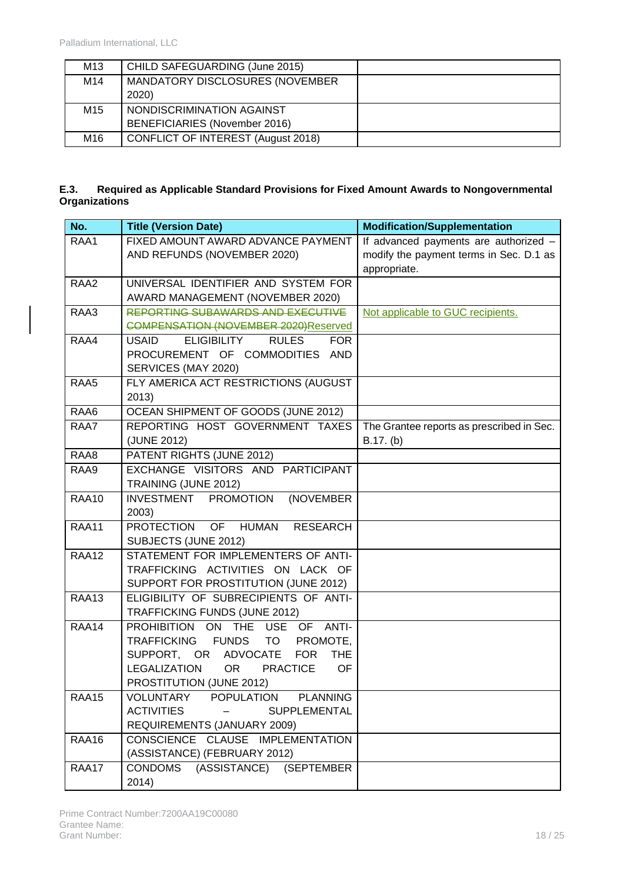| M <sub>13</sub> | CHILD SAFEGUARDING (June 2015)     |  |
|-----------------|------------------------------------|--|
| M14             | MANDATORY DISCLOSURES (NOVEMBER    |  |
|                 | 2020)                              |  |
| M <sub>15</sub> | NONDISCRIMINATION AGAINST          |  |
|                 | BENEFICIARIES (November 2016)      |  |
| M <sub>16</sub> | CONFLICT OF INTEREST (August 2018) |  |

### **E.3. Required as Applicable Standard Provisions for Fixed Amount Awards to Nongovernmental Organizations**

| No.          | <b>Title (Version Date)</b>                                                                        | <b>Modification/Supplementation</b>       |
|--------------|----------------------------------------------------------------------------------------------------|-------------------------------------------|
| RAA1         | FIXED AMOUNT AWARD ADVANCE PAYMENT                                                                 | If advanced payments are authorized -     |
|              | AND REFUNDS (NOVEMBER 2020)                                                                        | modify the payment terms in Sec. D.1 as   |
|              |                                                                                                    | appropriate.                              |
| RAA2         | UNIVERSAL IDENTIFIER AND SYSTEM FOR                                                                |                                           |
|              | AWARD MANAGEMENT (NOVEMBER 2020)                                                                   |                                           |
| RAA3         | <b>REPORTING SUBAWARDS AND EXECUTIVE</b>                                                           | Not applicable to GUC recipients.         |
|              | <b>COMPENSATION (NOVEMBER 2020)Reserved</b>                                                        |                                           |
| RAA4         | <b>RULES</b><br><b>USAID</b><br><b>ELIGIBILITY</b><br><b>FOR</b><br>PROCUREMENT OF COMMODITIES AND |                                           |
|              | SERVICES (MAY 2020)                                                                                |                                           |
| RAA5         | FLY AMERICA ACT RESTRICTIONS (AUGUST                                                               |                                           |
|              | 2013)                                                                                              |                                           |
| RAA6         | OCEAN SHIPMENT OF GOODS (JUNE 2012)                                                                |                                           |
| RAA7         | REPORTING HOST GOVERNMENT TAXES                                                                    | The Grantee reports as prescribed in Sec. |
|              | (JUNE 2012)                                                                                        | B.17. (b)                                 |
| RAA8         | PATENT RIGHTS (JUNE 2012)                                                                          |                                           |
| RAA9         | EXCHANGE VISITORS AND PARTICIPANT                                                                  |                                           |
|              | TRAINING (JUNE 2012)                                                                               |                                           |
| <b>RAA10</b> | <b>INVESTMENT</b><br><b>PROMOTION</b><br>(NOVEMBER                                                 |                                           |
|              | 2003)                                                                                              |                                           |
| <b>RAA11</b> | <b>PROTECTION</b><br>OF HUMAN<br><b>RESEARCH</b>                                                   |                                           |
|              | SUBJECTS (JUNE 2012)                                                                               |                                           |
| <b>RAA12</b> | STATEMENT FOR IMPLEMENTERS OF ANTI-                                                                |                                           |
|              | TRAFFICKING ACTIVITIES ON LACK OF                                                                  |                                           |
|              | SUPPORT FOR PROSTITUTION (JUNE 2012)                                                               |                                           |
| <b>RAA13</b> | ELIGIBILITY OF SUBRECIPIENTS OF ANTI-                                                              |                                           |
|              | TRAFFICKING FUNDS (JUNE 2012)                                                                      |                                           |
| RAA14        | PROHIBITION ON THE USE OF ANTI-                                                                    |                                           |
|              | <b>TRAFFICKING</b><br><b>FUNDS</b><br>TO<br>PROMOTE,<br><b>FOR</b>                                 |                                           |
|              | SUPPORT, OR ADVOCATE<br><b>THE</b><br>OR <sub>2</sub><br><b>PRACTICE</b><br>LEGALIZATION<br>OF     |                                           |
|              | PROSTITUTION (JUNE 2012)                                                                           |                                           |
| RAA15        | VOLUNTARY POPULATION<br><b>PLANNING</b>                                                            |                                           |
|              | <b>ACTIVITIES</b><br>SUPPLEMENTAL                                                                  |                                           |
|              | REQUIREMENTS (JANUARY 2009)                                                                        |                                           |
| RAA16        | CONSCIENCE CLAUSE IMPLEMENTATION                                                                   |                                           |
|              | (ASSISTANCE) (FEBRUARY 2012)                                                                       |                                           |
| RAA17        | <b>CONDOMS</b><br>(ASSISTANCE) (SEPTEMBER                                                          |                                           |
|              | 2014)                                                                                              |                                           |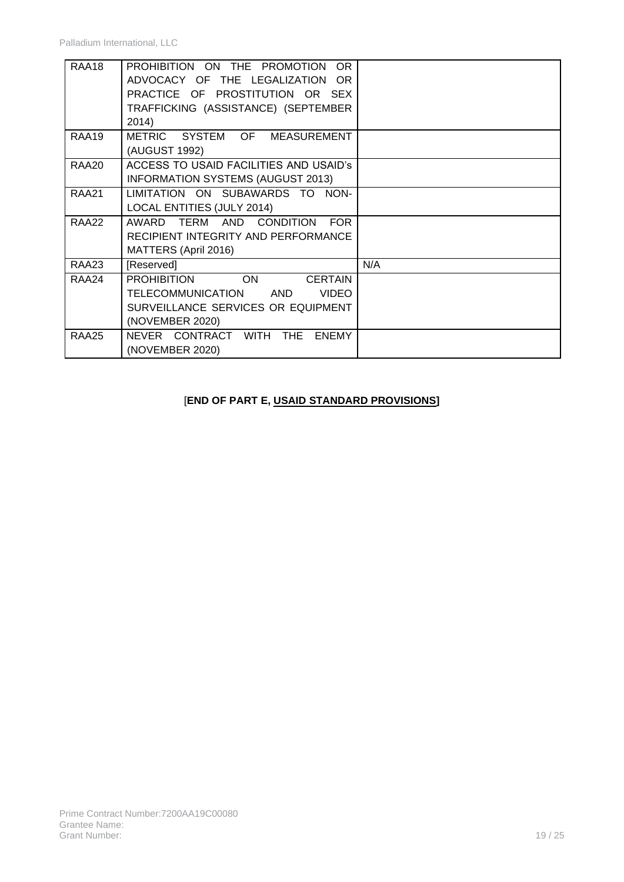| RAA18        | PROHIBITION ON THE PROMOTION<br>OR.<br>ADVOCACY OF THE LEGALIZATION OR<br>PRACTICE OF PROSTITUTION OR SEX<br>TRAFFICKING (ASSISTANCE) (SEPTEMBER<br>2014)     |     |
|--------------|---------------------------------------------------------------------------------------------------------------------------------------------------------------|-----|
| RAA19        | METRIC SYSTEM OF MEASUREMENT<br>(AUGUST 1992)                                                                                                                 |     |
| RAA20        | ACCESS TO USAID FACILITIES AND USAID's<br><b>INFORMATION SYSTEMS (AUGUST 2013)</b>                                                                            |     |
| <b>RAA21</b> | LIMITATION ON SUBAWARDS TO NON-<br><b>LOCAL ENTITIES (JULY 2014)</b>                                                                                          |     |
| RAA22        | AWARD<br>TERM<br>AND CONDITION<br><b>FOR</b><br>RECIPIENT INTEGRITY AND PERFORMANCE<br>MATTERS (April 2016)                                                   |     |
| <b>RAA23</b> | [Reserved]                                                                                                                                                    | N/A |
| RAA24        | PROHIBITION<br><b>ON</b><br><b>CERTAIN</b><br><b>TELECOMMUNICATION</b><br><b>VIDEO</b><br><b>AND</b><br>SURVEILLANCE SERVICES OR EQUIPMENT<br>(NOVEMBER 2020) |     |
| RAA25        | NEVER CONTRACT WITH<br>THE<br><b>ENEMY</b><br>(NOVEMBER 2020)                                                                                                 |     |

# [**END OF PART E, USAID STANDARD PROVISIONS]**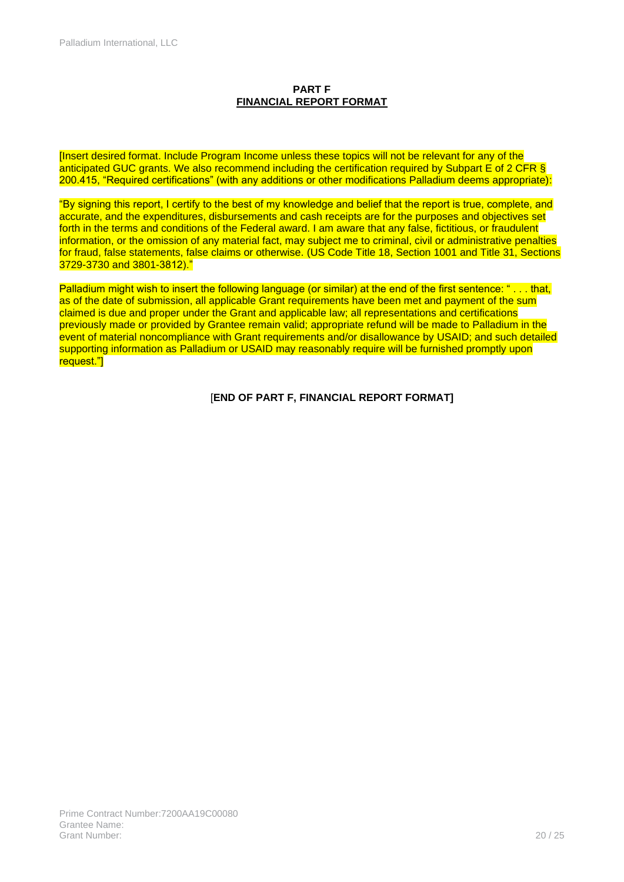### **PART F FINANCIAL REPORT FORMAT**

[Insert desired format. Include Program Income unless these topics will not be relevant for any of the anticipated GUC grants. We also recommend including the certification required by Subpart E of 2 CFR & 200.415, "Required certifications" (with any additions or other modifications Palladium deems appropriate):

"By signing this report, I certify to the best of my knowledge and belief that the report is true, complete, and accurate, and the expenditures, disbursements and cash receipts are for the purposes and objectives set forth in the terms and conditions of the Federal award. I am aware that any false, fictitious, or fraudulent information, or the omission of any material fact, may subject me to criminal, civil or administrative penalties for fraud, false statements, false claims or otherwise. (US Code Title 18, Section 1001 and Title 31, Sections 3729-3730 and 3801-3812)."

Palladium might wish to insert the following language (or similar) at the end of the first sentence: "...that, as of the date of submission, all applicable Grant requirements have been met and payment of the sum claimed is due and proper under the Grant and applicable law; all representations and certifications previously made or provided by Grantee remain valid; appropriate refund will be made to Palladium in the event of material noncompliance with Grant requirements and/or disallowance by USAID; and such detailed supporting information as Palladium or USAID may reasonably require will be furnished promptly upon request."]

[**END OF PART F, FINANCIAL REPORT FORMAT]**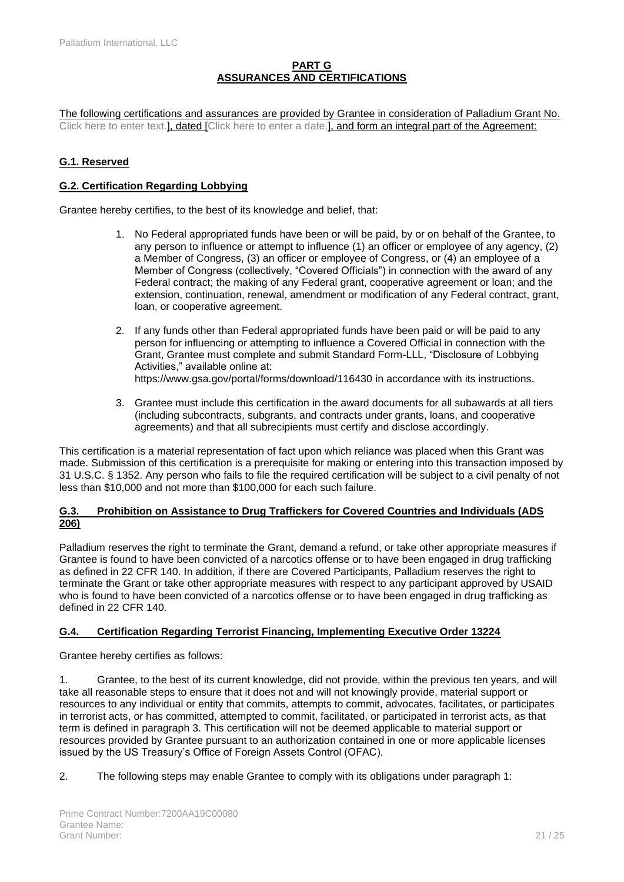### **PART G ASSURANCES AND CERTIFICATIONS**

The following certifications and assurances are provided by Grantee in consideration of Palladium Grant No. Click here to enter text.], dated [Click here to enter a date.], and form an integral part of the Agreement:

### **G.1. Reserved**

### **G.2. Certification Regarding Lobbying**

Grantee hereby certifies, to the best of its knowledge and belief, that:

- 1. No Federal appropriated funds have been or will be paid, by or on behalf of the Grantee, to any person to influence or attempt to influence (1) an officer or employee of any agency, (2) a Member of Congress, (3) an officer or employee of Congress, or (4) an employee of a Member of Congress (collectively, "Covered Officials") in connection with the award of any Federal contract; the making of any Federal grant, cooperative agreement or loan; and the extension, continuation, renewal, amendment or modification of any Federal contract, grant, loan, or cooperative agreement.
- 2. If any funds other than Federal appropriated funds have been paid or will be paid to any person for influencing or attempting to influence a Covered Official in connection with the Grant, Grantee must complete and submit Standard Form-LLL, "Disclosure of Lobbying Activities," available online at: <https://www.gsa.gov/portal/forms/download/116430> in accordance with its instructions.
- 3. Grantee must include this certification in the award documents for all subawards at all tiers (including subcontracts, subgrants, and contracts under grants, loans, and cooperative agreements) and that all subrecipients must certify and disclose accordingly.

This certification is a material representation of fact upon which reliance was placed when this Grant was made. Submission of this certification is a prerequisite for making or entering into this transaction imposed by 31 U.S.C. § 1352. Any person who fails to file the required certification will be subject to a civil penalty of not less than \$10,000 and not more than \$100,000 for each such failure.

### **G.3. Prohibition on Assistance to Drug Traffickers for Covered Countries and Individuals (ADS 206)**

Palladium reserves the right to terminate the Grant, demand a refund, or take other appropriate measures if Grantee is found to have been convicted of a narcotics offense or to have been engaged in drug trafficking as defined in 22 CFR 140. In addition, if there are Covered Participants, Palladium reserves the right to terminate the Grant or take other appropriate measures with respect to any participant approved by USAID who is found to have been convicted of a narcotics offense or to have been engaged in drug trafficking as defined in 22 CFR 140.

### **G.4. Certification Regarding Terrorist Financing, Implementing Executive Order 13224**

Grantee hereby certifies as follows:

1. Grantee, to the best of its current knowledge, did not provide, within the previous ten years, and will take all reasonable steps to ensure that it does not and will not knowingly provide, material support or resources to any individual or entity that commits, attempts to commit, advocates, facilitates, or participates in terrorist acts, or has committed, attempted to commit, facilitated, or participated in terrorist acts, as that term is defined in paragraph 3. This certification will not be deemed applicable to material support or resources provided by Grantee pursuant to an authorization contained in one or more applicable licenses issued by the US Treasury's Office of Foreign Assets Control (OFAC).

2. The following steps may enable Grantee to comply with its obligations under paragraph 1: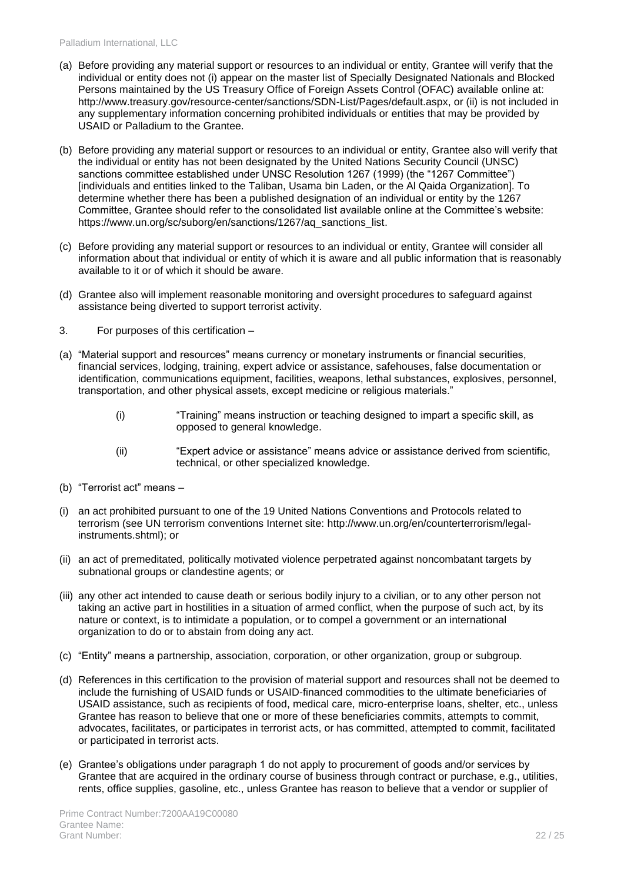- (a) Before providing any material support or resources to an individual or entity, Grantee will verify that the individual or entity does not (i) appear on the master list of Specially Designated Nationals and Blocked Persons maintained by the US Treasury Office of Foreign Assets Control (OFAC) available online at: [http://www.treasury.gov/resource-center/sanctions/SDN-List/Pages/default.aspx,](http://www.treasury.gov/resource-center/sanctions/SDN-List/Pages/default.aspx) or (ii) is not included in any supplementary information concerning prohibited individuals or entities that may be provided by USAID or Palladium to the Grantee.
- (b) Before providing any material support or resources to an individual or entity, Grantee also will verify that the individual or entity has not been designated by the United Nations Security Council (UNSC) sanctions committee established under UNSC Resolution 1267 (1999) (the "1267 Committee") [individuals and entities linked to the Taliban, Usama bin Laden, or the Al Qaida Organization]. To determine whether there has been a published designation of an individual or entity by the 1267 Committee, Grantee should refer to the consolidated list available online at the Committee's website: [https://www.un.org/sc/suborg/en/sanctions/1267/aq\\_sanctions\\_list.](https://www.un.org/sc/suborg/en/sanctions/1267/aq_sanctions_list)
- (c) Before providing any material support or resources to an individual or entity, Grantee will consider all information about that individual or entity of which it is aware and all public information that is reasonably available to it or of which it should be aware.
- (d) Grantee also will implement reasonable monitoring and oversight procedures to safeguard against assistance being diverted to support terrorist activity.
- 3. For purposes of this certification –
- (a) "Material support and resources" means currency or monetary instruments or financial securities, financial services, lodging, training, expert advice or assistance, safehouses, false documentation or identification, communications equipment, facilities, weapons, lethal substances, explosives, personnel, transportation, and other physical assets, except medicine or religious materials."
	- (i) "Training" means instruction or teaching designed to impart a specific skill, as opposed to general knowledge.
	- (ii) "Expert advice or assistance" means advice or assistance derived from scientific, technical, or other specialized knowledge.
- (b) "Terrorist act" means –
- (i) an act prohibited pursuant to one of the 19 United Nations Conventions and Protocols related to terrorism (see UN terrorism conventions Internet site: [http://www.un.org/en/counterterrorism/legal](http://www.un.org/en/counterterrorism/legal-instruments.shtml)[instruments.shtml\)](http://www.un.org/en/counterterrorism/legal-instruments.shtml); or
- (ii) an act of premeditated, politically motivated violence perpetrated against noncombatant targets by subnational groups or clandestine agents; or
- (iii) any other act intended to cause death or serious bodily injury to a civilian, or to any other person not taking an active part in hostilities in a situation of armed conflict, when the purpose of such act, by its nature or context, is to intimidate a population, or to compel a government or an international organization to do or to abstain from doing any act.
- (c) "Entity" means a partnership, association, corporation, or other organization, group or subgroup.
- (d) References in this certification to the provision of material support and resources shall not be deemed to include the furnishing of USAID funds or USAID-financed commodities to the ultimate beneficiaries of USAID assistance, such as recipients of food, medical care, micro-enterprise loans, shelter, etc., unless Grantee has reason to believe that one or more of these beneficiaries commits, attempts to commit, advocates, facilitates, or participates in terrorist acts, or has committed, attempted to commit, facilitated or participated in terrorist acts.
- (e) Grantee's obligations under paragraph 1 do not apply to procurement of goods and/or services by Grantee that are acquired in the ordinary course of business through contract or purchase, e.g., utilities, rents, office supplies, gasoline, etc., unless Grantee has reason to believe that a vendor or supplier of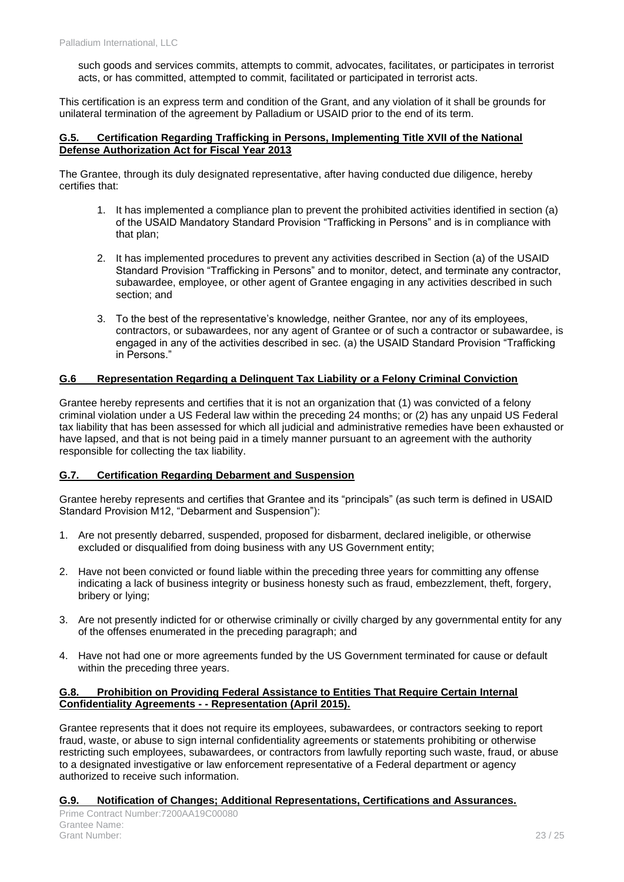such goods and services commits, attempts to commit, advocates, facilitates, or participates in terrorist acts, or has committed, attempted to commit, facilitated or participated in terrorist acts.

This certification is an express term and condition of the Grant, and any violation of it shall be grounds for unilateral termination of the agreement by Palladium or USAID prior to the end of its term.

#### **G.5. Certification Regarding Trafficking in Persons, Implementing Title XVII of the National Defense Authorization Act for Fiscal Year 2013**

The Grantee, through its duly designated representative, after having conducted due diligence, hereby certifies that:

- 1. It has implemented a compliance plan to prevent the prohibited activities identified in section (a) of the USAID Mandatory Standard Provision "Trafficking in Persons" and is in compliance with that plan;
- 2. It has implemented procedures to prevent any activities described in Section (a) of the USAID Standard Provision "Trafficking in Persons" and to monitor, detect, and terminate any contractor, subawardee, employee, or other agent of Grantee engaging in any activities described in such section; and
- 3. To the best of the representative's knowledge, neither Grantee, nor any of its employees, contractors, or subawardees, nor any agent of Grantee or of such a contractor or subawardee, is engaged in any of the activities described in sec. (a) the USAID Standard Provision "Trafficking in Persons."

### **G.6 Representation Regarding a Delinquent Tax Liability or a Felony Criminal Conviction**

Grantee hereby represents and certifies that it is not an organization that (1) was convicted of a felony criminal violation under a US Federal law within the preceding 24 months; or (2) has any unpaid US Federal tax liability that has been assessed for which all judicial and administrative remedies have been exhausted or have lapsed, and that is not being paid in a timely manner pursuant to an agreement with the authority responsible for collecting the tax liability.

### **G.7. Certification Regarding Debarment and Suspension**

Grantee hereby represents and certifies that Grantee and its "principals" (as such term is defined in USAID Standard Provision M12, "Debarment and Suspension"):

- 1. Are not presently debarred, suspended, proposed for disbarment, declared ineligible, or otherwise excluded or disqualified from doing business with any US Government entity:
- 2. Have not been convicted or found liable within the preceding three years for committing any offense indicating a lack of business integrity or business honesty such as fraud, embezzlement, theft, forgery, bribery or lying;
- 3. Are not presently indicted for or otherwise criminally or civilly charged by any governmental entity for any of the offenses enumerated in the preceding paragraph; and
- 4. Have not had one or more agreements funded by the US Government terminated for cause or default within the preceding three years.

#### **G.8. Prohibition on Providing Federal Assistance to Entities That Require Certain Internal Confidentiality Agreements - - Representation (April 2015).**

Grantee represents that it does not require its employees, subawardees, or contractors seeking to report fraud, waste, or abuse to sign internal confidentiality agreements or statements prohibiting or otherwise restricting such employees, subawardees, or contractors from lawfully reporting such waste, fraud, or abuse to a designated investigative or law enforcement representative of a Federal department or agency authorized to receive such information.

### **G.9. Notification of Changes; Additional Representations, Certifications and Assurances.**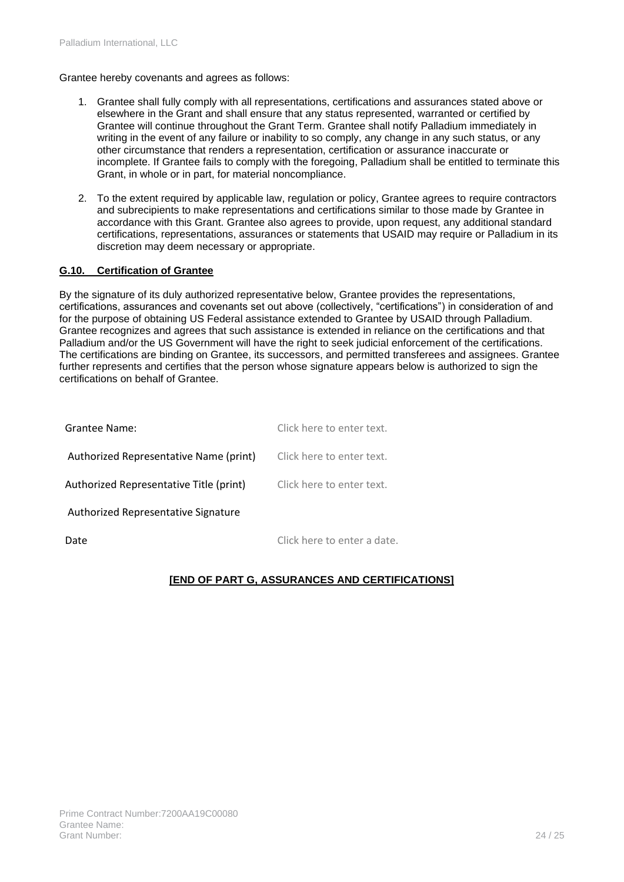Grantee hereby covenants and agrees as follows:

- 1. Grantee shall fully comply with all representations, certifications and assurances stated above or elsewhere in the Grant and shall ensure that any status represented, warranted or certified by Grantee will continue throughout the Grant Term. Grantee shall notify Palladium immediately in writing in the event of any failure or inability to so comply, any change in any such status, or any other circumstance that renders a representation, certification or assurance inaccurate or incomplete. If Grantee fails to comply with the foregoing, Palladium shall be entitled to terminate this Grant, in whole or in part, for material noncompliance.
- 2. To the extent required by applicable law, regulation or policy, Grantee agrees to require contractors and subrecipients to make representations and certifications similar to those made by Grantee in accordance with this Grant. Grantee also agrees to provide, upon request, any additional standard certifications, representations, assurances or statements that USAID may require or Palladium in its discretion may deem necessary or appropriate.

### **G.10. Certification of Grantee**

By the signature of its duly authorized representative below, Grantee provides the representations, certifications, assurances and covenants set out above (collectively, "certifications") in consideration of and for the purpose of obtaining US Federal assistance extended to Grantee by USAID through Palladium. Grantee recognizes and agrees that such assistance is extended in reliance on the certifications and that Palladium and/or the US Government will have the right to seek judicial enforcement of the certifications. The certifications are binding on Grantee, its successors, and permitted transferees and assignees. Grantee further represents and certifies that the person whose signature appears below is authorized to sign the certifications on behalf of Grantee.

| Grantee Name:                           | Click here to enter text.   |
|-----------------------------------------|-----------------------------|
| Authorized Representative Name (print)  | Click here to enter text.   |
| Authorized Representative Title (print) | Click here to enter text.   |
| Authorized Representative Signature     |                             |
| Date                                    | Click here to enter a date. |

### **[END OF PART G, ASSURANCES AND CERTIFICATIONS]**